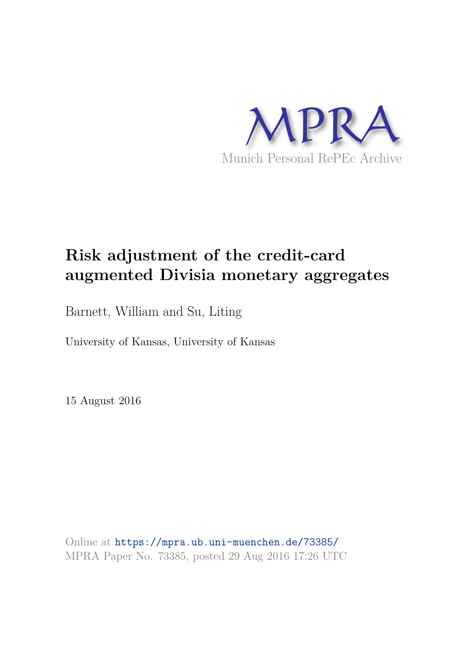

# **Risk adjustment of the credit-card augmented Divisia monetary aggregates**

Barnett, William and Su, Liting

University of Kansas, University of Kansas

15 August 2016

Online at https://mpra.ub.uni-muenchen.de/73385/ MPRA Paper No. 73385, posted 29 Aug 2016 17:26 UTC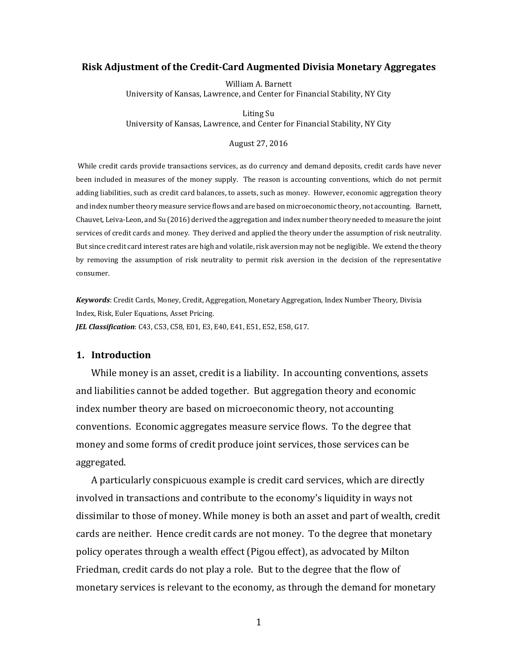#### **Risk Adjustment of the Credit-Card Augmented Divisia Monetary Aggregates**

William A. Barnett University of Kansas, Lawrence, and Center for Financial Stability, NY City

Liting Su University of Kansas, Lawrence, and Center for Financial Stability, NY City

#### August 27, 2016

While credit cards provide transactions services, as do currency and demand deposits, credit cards have never been included in measures of the money supply. The reason is accounting conventions, which do not permit adding liabilities, such as credit card balances, to assets, such as money. However, economic aggregation theory and index number theory measure service flows and are based on microeconomic theory, not accounting. Barnett, Chauvet, Leiva-Leon, and Su (2016) derived the aggregation and index number theory needed to measure the joint services of credit cards and money. They derived and applied the theory under the assumption of risk neutrality. But since credit card interest rates are high and volatile, risk aversion may not be negligible. We extend the theory by removing the assumption of risk neutrality to permit risk aversion in the decision of the representative consumer.

*Keywords*: Credit Cards, Money, Credit, Aggregation, Monetary Aggregation, Index Number Theory, Divisia Index, Risk, Euler Equations, Asset Pricing. *JEL Classification*: C43, C53, C58, E01, E3, E40, E41, E51, E52, E58, G17.

## **1. Introduction**

While money is an asset, credit is a liability. In accounting conventions, assets and liabilities cannot be added together. But aggregation theory and economic index number theory are based on microeconomic theory, not accounting conventions. Economic aggregates measure service flows. To the degree that money and some forms of credit produce joint services, those services can be aggregated.

A particularly conspicuous example is credit card services, which are directly involved in transactions and contribute to the economy's liquidity in ways not dissimilar to those of money. While money is both an asset and part of wealth, credit cards are neither. Hence credit cards are not money. To the degree that monetary policy operates through a wealth effect (Pigou effect), as advocated by Milton Friedman, credit cards do not play a role. But to the degree that the flow of monetary services is relevant to the economy, as through the demand for monetary

1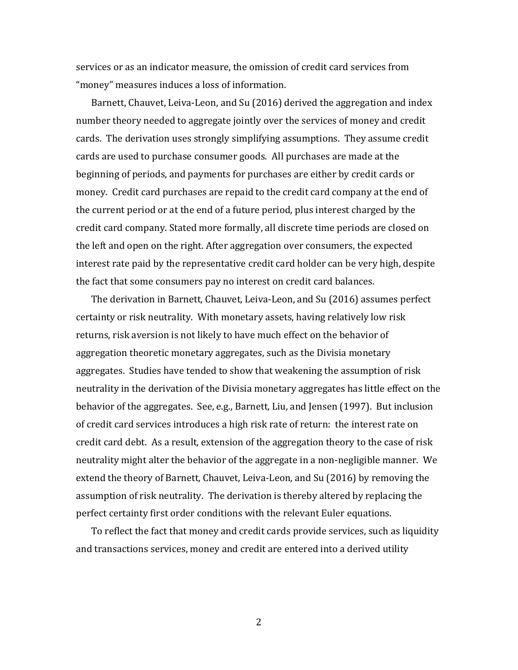services or as an indicator measure, the omission of credit card services from "money" measures induces a loss of information.

Barnett, Chauvet, Leiva-Leon, and Su (2016) derived the aggregation and index number theory needed to aggregate jointly over the services of money and credit cards. The derivation uses strongly simplifying assumptions. They assume credit cards are used to purchase consumer goods. All purchases are made at the beginning of periods, and payments for purchases are either by credit cards or money. Credit card purchases are repaid to the credit card company at the end of the current period or at the end of a future period, plus interest charged by the credit card company. Stated more formally, all discrete time periods are closed on the left and open on the right. After aggregation over consumers, the expected interest rate paid by the representative credit card holder can be very high, despite the fact that some consumers pay no interest on credit card balances.

The derivation in Barnett, Chauvet, Leiva-Leon, and Su (2016) assumes perfect certainty or risk neutrality. With monetary assets, having relatively low risk returns, risk aversion is not likely to have much effect on the behavior of aggregation theoretic monetary aggregates, such as the Divisia monetary aggregates. Studies have tended to show that weakening the assumption of risk neutrality in the derivation of the Divisia monetary aggregates has little effect on the behavior of the aggregates. See, e.g., Barnett, Liu, and Jensen (1997). But inclusion of credit card services introduces a high risk rate of return: the interest rate on credit card debt. As a result, extension of the aggregation theory to the case of risk neutrality might alter the behavior of the aggregate in a non-negligible manner. We extend the theory of Barnett, Chauvet, Leiva-Leon, and Su (2016) by removing the assumption of risk neutrality. The derivation is thereby altered by replacing the perfect certainty first order conditions with the relevant Euler equations.

To reflect the fact that money and credit cards provide services, such as liquidity and transactions services, money and credit are entered into a derived utility

2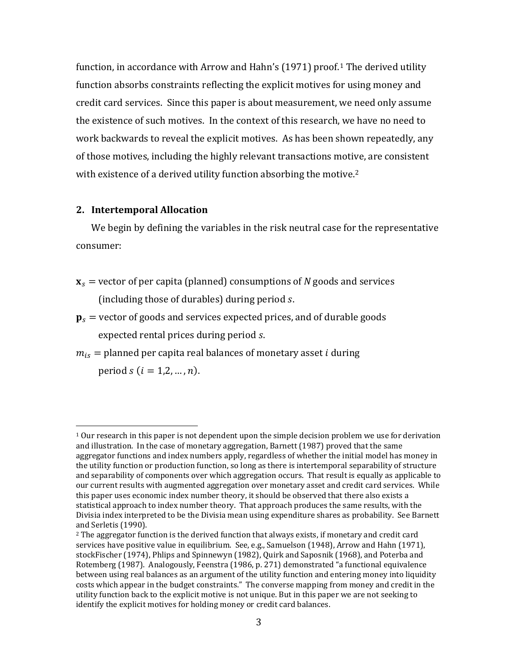function, in accordance with Arrow and Hahn's  $(1971)$  $(1971)$  $(1971)$  proof.<sup>1</sup> The derived utility function absorbs constraints reflecting the explicit motives for using money and credit card services. Since this paper is about measurement, we need only assume the existence of such motives. In the context of this research, we have no need to work backwards to reveal the explicit motives. As has been shown repeatedly, any of those motives, including the highly relevant transactions moti[ve](#page-3-1), are consistent with existence of a derived utility function absorbing the motive.<sup>2</sup>

# **2. Intertemporal Allocation**

<u>.</u>

We begin by defining the variables in the risk neutral case for the representative consumer:

- ${\bf x}_s$  = vector of per capita (planned) consumptions of *N* goods and services (including those of durables) during period s.
- $\mathbf{p}_s$  = vector of goods and services expected prices, and of durable goods expected rental prices during period s.
- $m_{is}$  = planned per capita real balances of monetary asset *i* during period  $s$  ( $i = 1, 2, ..., n$ ).

<span id="page-3-0"></span> $1$  Our research in this paper is not dependent upon the simple decision problem we use for derivation and illustration. In the case of monetary aggregation, Barnett (1987) proved that the same aggregator functions and index numbers apply, regardless of whether the initial model has money in the utility function or production function, so long as there is intertemporal separability of structure and separability of components over which aggregation occurs. That result is equally as applicable to our current results with augmented aggregation over monetary asset and credit card services. While this paper uses economic index number theory, it should be observed that there also exists a statistical approach to index number theory. That approach produces the same results, with the Divisia index interpreted to be the Divisia mean using expenditure shares as probability. See Barnett and Serletis (1990).

<span id="page-3-1"></span> $<sup>2</sup>$  The aggregator function is the derived function that always exists, if monetary and credit card</sup> services have positive value in equilibrium. See, e.g., Samuelson (1948), Arrow and Hahn (1971), stockFischer (1974), Phlips and Spinnewyn (1982), Quirk and Saposnik (1968), and Poterba and Rotemberg (1987). Analogously, Feenstra (1986, p. 271) demonstrated "a functional equivalence between using real balances as an argument of the utility function and entering money into liquidity costs which appear in the budget constraints." The converse mapping from money and credit in the utility function back to the explicit motive is not unique. But in this paper we are not seeking to identify the explicit motives for holding money or credit card balances.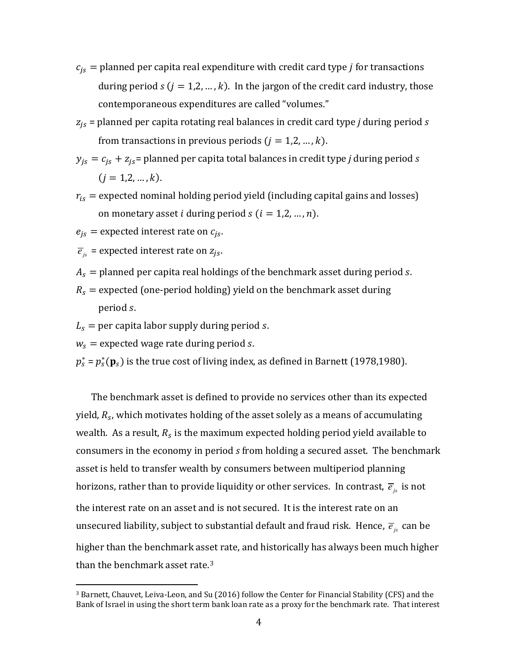- $c_{is}$  = planned per capita real expenditure with credit card type *j* for transactions during period  $s$  ( $j = 1, 2, ..., k$ ). In the jargon of the credit card industry, those contemporaneous expenditures are called "volumes."
- = planned per capita rotating real balances in credit card type *j* during period *s* from transactions in previous periods  $(j = 1, 2, ..., k)$ .
- $y_{js} = c_{js} + z_{js}$  planned per capita total balances in credit type *j* during period *s*  $(i = 1, 2, ..., k).$
- $r_{is}$  = expected nominal holding period yield (including capital gains and losses) on monetary asset *i* during period  $s$  ( $i = 1, 2, ..., n$ ).
- $e_{is}$  = expected interest rate on  $c_{is}$ .
- $\overline{e}_{is}$  = expected interest rate on  $z_{is}$ .
- $A_s$  = planned per capita real holdings of the benchmark asset during period s.
- $R_s$  = expected (one-period holding) yield on the benchmark asset during period s.
- $L<sub>s</sub>$  = per capita labor supply during period s.
- $w_s$  = expected wage rate during period s.

<u>.</u>

 $p_s^*$  =  $p_s^*(\mathbf{p}_s)$  is the true cost of living index, as defined in Barnett (1978,1980).

The benchmark asset is defined to provide no services other than its expected yield,  $R_{\scriptscriptstyle S}$ , which motivates holding of the asset solely as a means of accumulating wealth. As a result,  $R_s$  is the maximum expected holding period yield available to consumers in the economy in period *s* from holding a secured asset. The benchmark asset is held to transfer wealth by consumers between multiperiod planning horizons, rather than to provide liquidity or other services. In contrast,  $\bar{e}_{i}$  is not the interest rate on an asset and is not secured. It is the interest rate on an unsecured liability, subject to substantial default and fraud risk. Hence,  $\vec{e}_i$  can be higher than the benchmark ass[e](#page-4-0)t rate, and historically has always been much higher than the benchmark asset rate.<sup>3</sup>

<span id="page-4-0"></span><sup>3</sup> Barnett, Chauvet, Leiva-Leon, and Su (2016) follow the Center for Financial Stability (CFS) and the Bank of Israel in using the short term bank loan rate as a proxy for the benchmark rate. That interest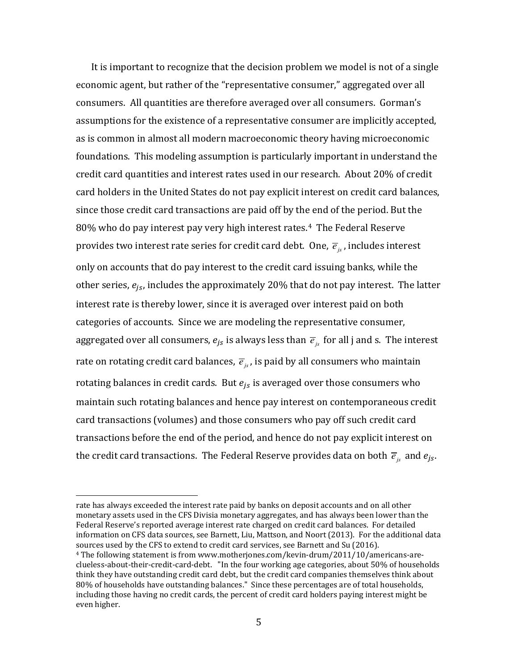It is important to recognize that the decision problem we model is not of a single economic agent, but rather of the "representative consumer," aggregated over all consumers. All quantities are therefore averaged over all consumers. Gorman's assumptions for the existence of a representative consumer are implicitly accepted, as is common in almost all modern macroeconomic theory having microeconomic foundations. This modeling assumption is particularly important in understand the credit card quantities and interest rates used in our research. About 20% of credit card holders in the United States do not pay explicit interest on credit card balances, since those credit card transactions are paid off by th[e](#page-5-0) end of the period. But the 80% who do pay interest pay very high interest rates.<sup>4</sup> The Federal Reserve provides two interest rate series for credit card debt. One,  $\vec{e}_k$ , includes interest only on accounts that do pay interest to the credit card issuing banks, while the other series,  $e_{is}$ , includes the approximately 20% that do not pay interest. The latter interest rate is thereby lower, since it is averaged over interest paid on both categories of accounts. Since we are modeling the representative consumer, aggregated over all consumers,  $e_{js}$  is always less than  $\overline{e}_{is}$  for all j and s. The interest rate on rotating credit card balances,  $\vec{e}_i$ , is paid by all consumers who maintain rotating balances in credit cards. But  $e_{is}$  is averaged over those consumers who maintain such rotating balances and hence pay interest on contemporaneous credit card transactions (volumes) and those consumers who pay off such credit card transactions before the end of the period, and hence do not pay explicit interest on the credit card transactions. The Federal Reserve provides data on both  $\overline{e}_{i}$  and  $e_{i}$ .

rate has always exceeded the interest rate paid by banks on deposit accounts and on all other monetary assets used in the CFS Divisia monetary aggregates, and has always been lower than the Federal Reserve's reported average interest rate charged on credit card balances. For detailed information on CFS data sources, see Barnett, Liu, Mattson, and Noort (2013). For the additional data sources used by the CFS to extend to credit card services, see Barnett and Su (2016).

<u>.</u>

<span id="page-5-0"></span><sup>4</sup> The following statement is from www.motherjones.com/kevin-drum/2011/10/americans-areclueless-about-their-credit-card-debt. "In the four working age categories, about 50% of households think they have outstanding credit card debt, but the credit card companies themselves think about 80% of households have outstanding balances." Since these percentages are of total households, including those having no credit cards, the percent of credit card holders paying interest might be even higher.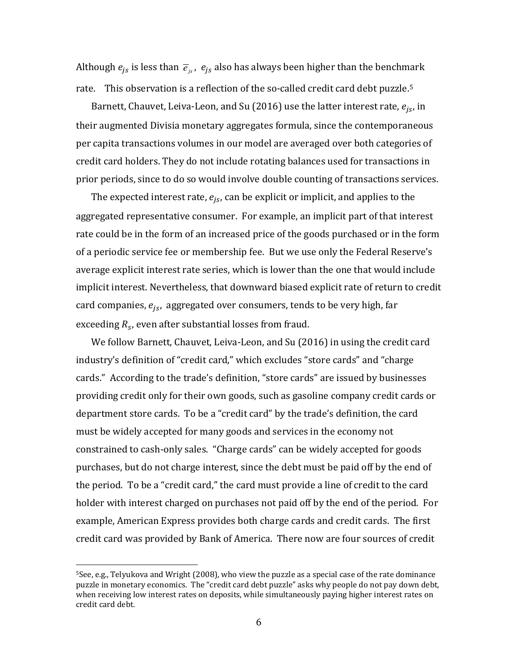Although  $e_{is}$  is less than  $\overline{e}_{is}$ ,  $e_{is}$  also has always been higher than the benchmark rate. This observation is a reflection of the so-called credit card debt puzzle.<sup>[5](#page-6-0)</sup>

Barnett, Chauvet, Leiva-Leon, and Su (2016) use the latter interest rate,  $e_{is}$ , in their augmented Divisia monetary aggregates formula, since the contemporaneous per capita transactions volumes in our model are averaged over both categories of credit card holders. They do not include rotating balances used for transactions in prior periods, since to do so would involve double counting of transactions services.

The expected interest rate,  $e_{js}$ , can be explicit or implicit, and applies to the aggregated representative consumer. For example, an implicit part of that interest rate could be in the form of an increased price of the goods purchased or in the form of a periodic service fee or membership fee. But we use only the Federal Reserve's average explicit interest rate series, which is lower than the one that would include implicit interest. Nevertheless, that downward biased explicit rate of return to credit card companies,  $e_{is}$ , aggregated over consumers, tends to be very high, far exceeding  $R_s$ , even after substantial losses from fraud.

We follow Barnett, Chauvet, Leiva-Leon, and Su (2016) in using the credit card industry's definition of "credit card," which excludes "store cards" and "charge cards." According to the trade's definition, "store cards" are issued by businesses providing credit only for their own goods, such as gasoline company credit cards or department store cards. To be a "credit card" by the trade's definition, the card must be widely accepted for many goods and services in the economy not constrained to cash-only sales. "Charge cards" can be widely accepted for goods purchases, but do not charge interest, since the debt must be paid off by the end of the period. To be a "credit card," the card must provide a line of credit to the card holder with interest charged on purchases not paid off by the end of the period. For example, American Express provides both charge cards and credit cards. The first credit card was provided by Bank of America. There now are four sources of credit

<u>.</u>

<span id="page-6-0"></span><sup>5</sup>See, e.g., Telyukova and Wright (2008), who view the puzzle as a special case of the rate dominance puzzle in monetary economics. The "credit card debt puzzle" asks why people do not pay down debt, when receiving low interest rates on deposits, while simultaneously paying higher interest rates on credit card debt.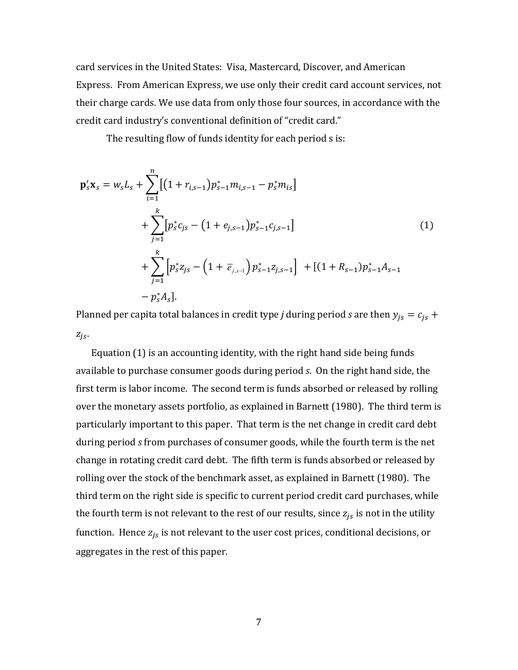card services in the United States: Visa, Mastercard, Discover, and American Express. From American Express, we use only their credit card account services, not their charge cards. We use data from only those four sources, in accordance with the credit card industry's conventional definition of "credit card."

The resulting flow of funds identity for each period s is:

$$
\mathbf{p}_{s}'\mathbf{x}_{s} = w_{s}L_{s} + \sum_{i=1}^{n} [(1 + r_{i,s-1})p_{s-1}^{*}m_{i,s-1} - p_{s}^{*}m_{is}] \n+ \sum_{j=1}^{k} [p_{s}^{*}c_{js} - (1 + e_{j,s-1})p_{s-1}^{*}c_{j,s-1}] \n+ \sum_{j=1}^{k} [p_{s}^{*}z_{js} - (1 + \overline{e}_{j,s-1})p_{s-1}^{*}z_{j,s-1}] + [(1 + R_{s-1})p_{s-1}^{*}A_{s-1} - p_{s}^{*}A_{s}].
$$
\n(1)

Planned per capita total balances in credit type *j* during period *s* are then  $y_{js} = c_{js} +$  $Z_{iS}$ .

Equation (1) is an accounting identity, with the right hand side being funds available to purchase consumer goods during period *s*. On the right hand side, the first term is labor income. The second term is funds absorbed or released by rolling over the monetary assets portfolio, as explained in Barnett (1980). The third term is particularly important to this paper. That term is the net change in credit card debt during period *s* from purchases of consumer goods, while the fourth term is the net change in rotating credit card debt. The fifth term is funds absorbed or released by rolling over the stock of the benchmark asset, as explained in Barnett (1980). The third term on the right side is specific to current period credit card purchases, while the fourth term is not relevant to the rest of our results, since  $z_{is}$  is not in the utility function. Hence  $z_{js}$  is not relevant to the user cost prices, conditional decisions, or aggregates in the rest of this paper.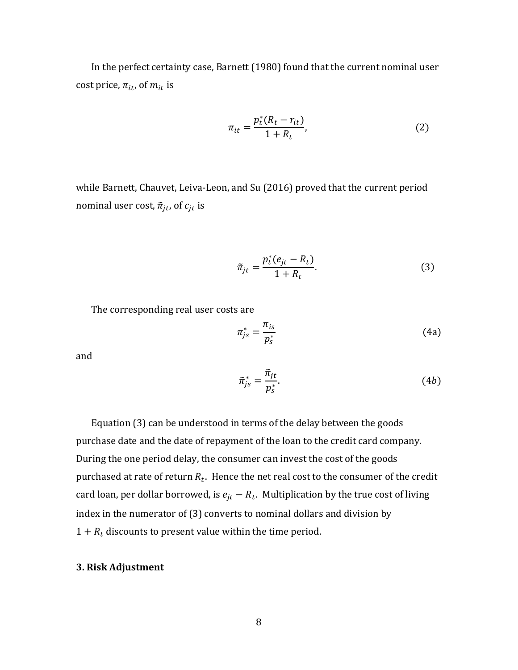In the perfect certainty case, Barnett (1980) found that the current nominal user cost price,  $\pi_{it}$ , of  $m_{it}$  is

$$
\pi_{it} = \frac{p_t^*(R_t - r_{it})}{1 + R_t},
$$
\n(2)

while Barnett, Chauvet, Leiva-Leon, and Su (2016) proved that the current period nominal user cost,  $\tilde{\pi}_{it}$ , of  $c_{it}$  is

$$
\tilde{\pi}_{jt} = \frac{p_t^*(e_{jt} - R_t)}{1 + R_t}.
$$
\n(3)

The corresponding real user costs are

$$
\pi_{js}^* = \frac{\pi_{is}}{p_s^*} \tag{4a}
$$

and

$$
\tilde{\pi}_{js}^* = \frac{\tilde{\pi}_{jt}}{p_s^*}.
$$
\n(4b)

Equation (3) can be understood in terms of the delay between the goods purchase date and the date of repayment of the loan to the credit card company. During the one period delay, the consumer can invest the cost of the goods purchased at rate of return  $R_t$ . Hence the net real cost to the consumer of the credit card loan, per dollar borrowed, is  $e_{jt} - R_t$ . Multiplication by the true cost of living index in the numerator of (3) converts to nominal dollars and division by  $1 + R_t$  discounts to present value within the time period.

# **3. Risk Adjustment**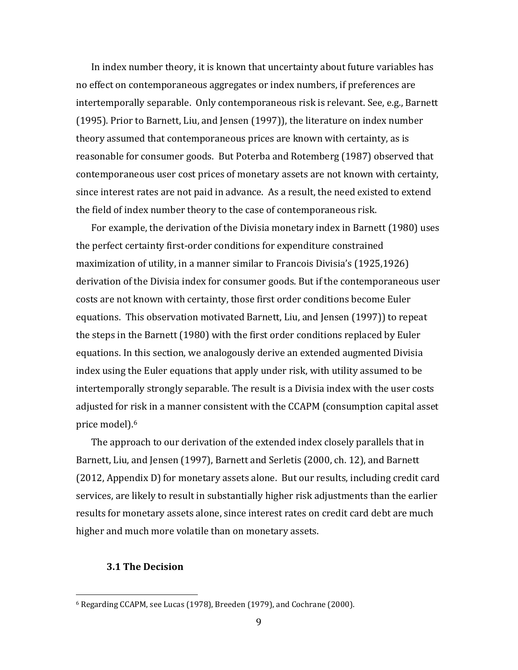In index number theory, it is known that uncertainty about future variables has no effect on contemporaneous aggregates or index numbers, if preferences are intertemporally separable. Only contemporaneous risk is relevant. See, e.g., Barnett (1995). Prior to Barnett, Liu, and Jensen (1997)), the literature on index number theory assumed that contemporaneous prices are known with certainty, as is reasonable for consumer goods. But Poterba and Rotemberg (1987) observed that contemporaneous user cost prices of monetary assets are not known with certainty, since interest rates are not paid in advance. As a result, the need existed to extend the field of index number theory to the case of contemporaneous risk.

For example, the derivation of the Divisia monetary index in Barnett (1980) uses the perfect certainty first-order conditions for expenditure constrained maximization of utility, in a manner similar to Francois Divisia's (1925,1926) derivation of the Divisia index for consumer goods. But if the contemporaneous user costs are not known with certainty, those first order conditions become Euler equations. This observation motivated Barnett, Liu, and Jensen (1997)) to repeat the steps in the Barnett (1980) with the first order conditions replaced by Euler equations. In this section, we analogously derive an extended augmented Divisia index using the Euler equations that apply under risk, with utility assumed to be intertemporally strongly separable. The result is a Divisia index with the user costs adjusted for [ris](#page-9-0)k in a manner consistent with the CCAPM (consumption capital asset price model). 6

The approach to our derivation of the extended index closely parallels that in Barnett, Liu, and Jensen (1997), Barnett and Serletis (2000, ch. 12), and Barnett (2012, Appendix D) for monetary assets alone. But our results, including credit card services, are likely to result in substantially higher risk adjustments than the earlier results for monetary assets alone, since interest rates on credit card debt are much higher and much more volatile than on monetary assets.

#### **3.1 The Decision**

-

<span id="page-9-0"></span><sup>6</sup> Regarding CCAPM, see Lucas (1978), Breeden (1979), and Cochrane (2000).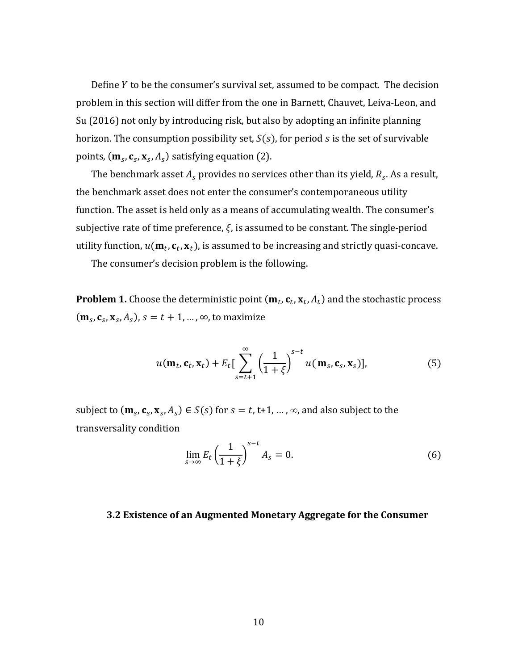Define Y to be the consumer's survival set, assumed to be compact. The decision problem in this section will differ from the one in Barnett, Chauvet, Leiva-Leon, and Su (2016) not only by introducing risk, but also by adopting an infinite planning horizon. The consumption possibility set,  $S(s)$ , for period s is the set of survivable points,  $(\mathbf{m}_s, \mathbf{c}_s, \mathbf{x}_s, A_s)$  satisfying equation (2).

The benchmark asset  $A_s$  provides no services other than its yield,  $R_s$ . As a result, the benchmark asset does not enter the consumer's contemporaneous utility function. The asset is held only as a means of accumulating wealth. The consumer's subjective rate of time preference,  $\xi$ , is assumed to be constant. The single-period utility function,  $u(\mathbf{m}_t, \mathbf{c}_t, \mathbf{x}_t)$ , is assumed to be increasing and strictly quasi-concave.

The consumer's decision problem is the following.

**Problem 1.** Choose the deterministic point  $(\mathbf{m}_t, \mathbf{c}_t, \mathbf{x}_t, A_t)$  and the stochastic process  $(\mathbf{m}_s, \mathbf{c}_s, \mathbf{x}_s, A_s)$ ,  $s = t + 1, ..., \infty$ , to maximize

$$
u(\mathbf{m}_t, \mathbf{c}_t, \mathbf{x}_t) + E_t \Big[ \sum_{s=t+1}^{\infty} \left( \frac{1}{1+\xi} \right)^{s-t} u(\mathbf{m}_s, \mathbf{c}_s, \mathbf{x}_s) \Big], \tag{5}
$$

subject to  $(\mathbf{m}_s, \mathbf{c}_s, \mathbf{x}_s, A_s) \in S(s)$  for  $s = t, t+1, ..., \infty$ , and also subject to the transversality condition

$$
\lim_{s \to \infty} E_t \left( \frac{1}{1 + \xi} \right)^{s - t} A_s = 0. \tag{6}
$$

#### **3.2 Existence of an Augmented Monetary Aggregate for the Consumer**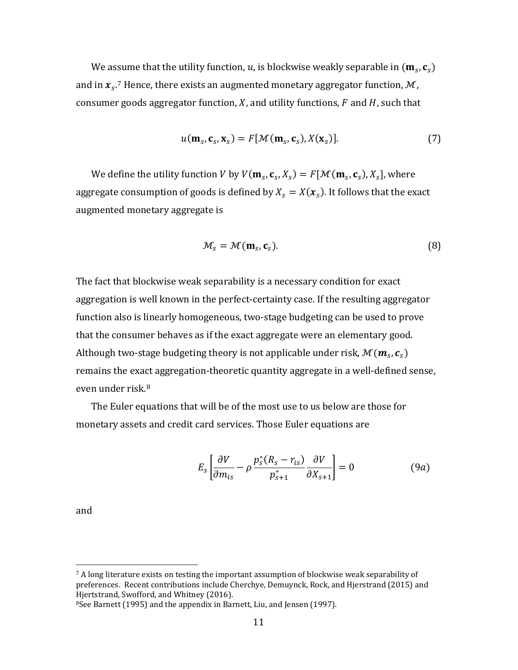We as[su](#page-11-0)me that the utility function,  $u$ , is blockwise weakly separable in  $(\mathbf{m}_s,\mathbf{c}_s)$ and in  $\pmb{x}_s$ .<sup>7</sup> Hence, there exists an augmented monetary aggregator function,  $\mathcal{M}$ , consumer goods aggregator function, X, and utility functions,  $F$  and  $H$ , such that

$$
u(\mathbf{m}_s, \mathbf{c}_s, \mathbf{x}_s) = F[\mathcal{M}(\mathbf{m}_s, \mathbf{c}_s), X(\mathbf{x}_s)].
$$
\n(7)

We define the utility function V by  $V(\mathbf{m}_s, \mathbf{c}_s, X_s) = F[\mathcal{M}(\mathbf{m}_s, \mathbf{c}_s), X_s]$ , where aggregate consumption of goods is defined by  $X_s = X(\boldsymbol{x}_s)$ . It follows that the exact augmented monetary aggregate is

$$
\mathcal{M}_s = \mathcal{M}(\mathbf{m}_s, \mathbf{c}_s). \tag{8}
$$

The fact that blockwise weak separability is a necessary condition for exact aggregation is well known in the perfect-certainty case. If the resulting aggregator function also is linearly homogeneous, two-stage budgeting can be used to prove that the consumer behaves as if the exact aggregate were an elementary good. Although two-stage budgeting theory is not applicable under risk,  $\mathcal{M}(\bm{m}_{s},\bm{c}_{s})$ remains the exa[ct](#page-11-1) aggregation-theoretic quantity aggregate in a well-defined sense, even under risk.<sup>8</sup>

The Euler equations that will be of the most use to us below are those for monetary assets and credit card services. Those Euler equations are

$$
E_s \left[ \frac{\partial V}{\partial m_{is}} - \rho \frac{p_s^*(R_s - r_{is})}{p_{s+1}^*} \frac{\partial V}{\partial X_{s+1}} \right] = 0 \tag{9a}
$$

and

 $\overline{a}$ 

<span id="page-11-0"></span> $7$  A long literature exists on testing the important assumption of blockwise weak separability of preferences. Recent contributions include Cherchye, Demuynck, Rock, and Hjerstrand (2015) and Hjertstrand, Swofford, and Whitney (2016).

<span id="page-11-1"></span><sup>8</sup>See Barnett (1995) and the appendix in Barnett, Liu, and Jensen (1997).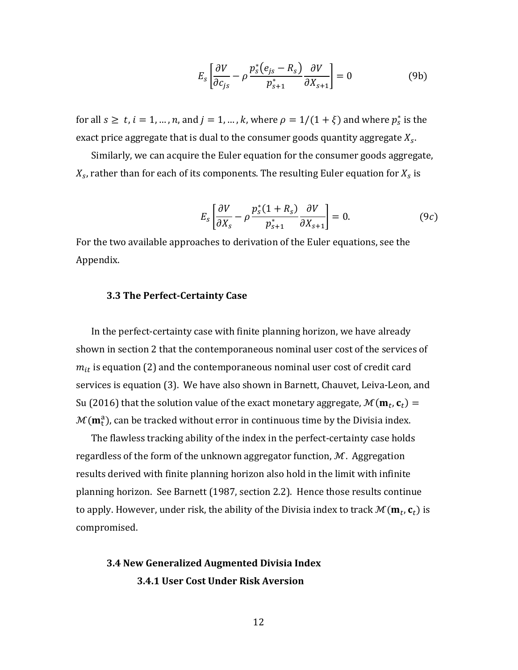$$
E_s \left[ \frac{\partial V}{\partial c_{js}} - \rho \frac{p_s^*(e_{js} - R_s)}{p_{s+1}^*} \frac{\partial V}{\partial X_{s+1}} \right] = 0
$$
 (9b)

for all  $s \ge t$ ,  $i = 1, ..., n$ , and  $j = 1, ..., k$ , where  $\rho = 1/(1 + \xi)$  and where  $p_s^*$  is the exact price aggregate that is dual to the consumer goods quantity aggregate  $X_{s}$ .

Similarly, we can acquire the Euler equation for the consumer goods aggregate,  $X_{\scriptscriptstyle\mathcal{S}}$ , rather than for each of its components. The resulting Euler equation for  $X_{\scriptscriptstyle\mathcal{S}}$  is

$$
E_s \left[ \frac{\partial V}{\partial X_s} - \rho \frac{p_s^*(1 + R_s)}{p_{s+1}^*} \frac{\partial V}{\partial X_{s+1}} \right] = 0. \tag{9c}
$$

For the two available approaches to derivation of the Euler equations, see the Appendix.

# **3.3 The Perfect-Certainty Case**

In the perfect-certainty case with finite planning horizon, we have already shown in section 2 that the contemporaneous nominal user cost of the services of  $m_{it}$  is equation (2) and the contemporaneous nominal user cost of credit card services is equation (3). We have also shown in Barnett, Chauvet, Leiva-Leon, and Su (2016) that the solution value of the exact monetary aggregate,  $\mathcal{M}(\mathbf{m}_t, \mathbf{c}_t)$  =  $\mathcal{M}(\textbf{m}_\text{t}^\text{a})$ , can be tracked without error in continuous time by the Divisia index.

The flawless tracking ability of the index in the perfect-certainty case holds regardless of the form of the unknown aggregator function,  $M$ . Aggregation results derived with finite planning horizon also hold in the limit with infinite planning horizon. See Barnett (1987, section 2.2). Hence those results continue to apply. However, under risk, the ability of the Divisia index to track  $\mathcal{M}(\mathbf{m}_t,\mathbf{c}_t)$  is compromised.

# **3.4 New Generalized Augmented Divisia Index 3.4.1 User Cost Under Risk Aversion**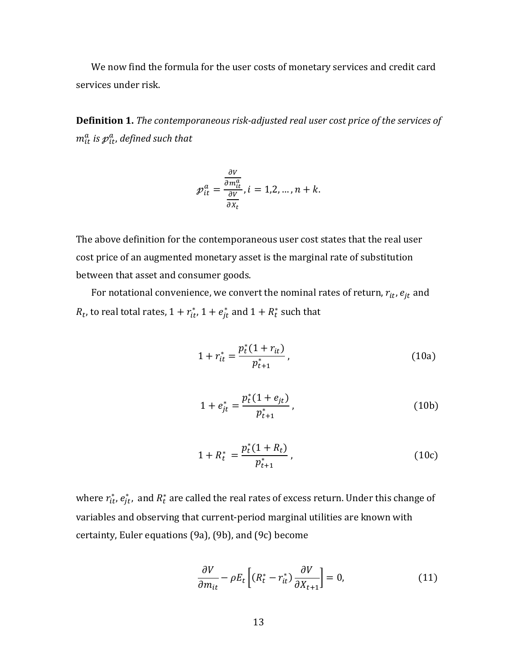We now find the formula for the user costs of monetary services and credit card services under risk.

**Definition 1.** *The contemporaneous risk-adjusted real user cost price of the services of*   $m_{it}^a$  is  ${\color{black} p}_{it}^a$ , defined such that

$$
\mathcal{P}_{it}^a = \frac{\frac{\partial V}{\partial m_{it}^a}}{\frac{\partial V}{\partial x_t}}, i = 1, 2, ..., n + k.
$$

The above definition for the contemporaneous user cost states that the real user cost price of an augmented monetary asset is the marginal rate of substitution between that asset and consumer goods.

For notational convenience, we convert the nominal rates of return,  $r_{it}$ ,  $e_{it}$  and  $R_t$ , to real total rates,  $1 + r_{it}^*$ ,  $1 + e_{jt}^*$  and  $1 + R_t^*$  such that

$$
1 + r_{it}^* = \frac{p_t^*(1 + r_{it})}{p_{t+1}^*},
$$
\n(10a)

$$
1 + e_{jt}^* = \frac{p_t^*(1 + e_{jt})}{p_{t+1}^*},
$$
\n(10b)

$$
1 + R_t^* = \frac{p_t^*(1 + R_t)}{p_{t+1}^*},
$$
\n(10c)

where  $r_{it}^*, e_{jt}^*$ , and  $R_t^*$  are called the real rates of excess return. Under this change of variables and observing that current-period marginal utilities are known with certainty, Euler equations (9a), (9b), and (9c) become

$$
\frac{\partial V}{\partial m_{it}} - \rho E_t \left[ (R_t^* - r_{it}^*) \frac{\partial V}{\partial X_{t+1}} \right] = 0, \tag{11}
$$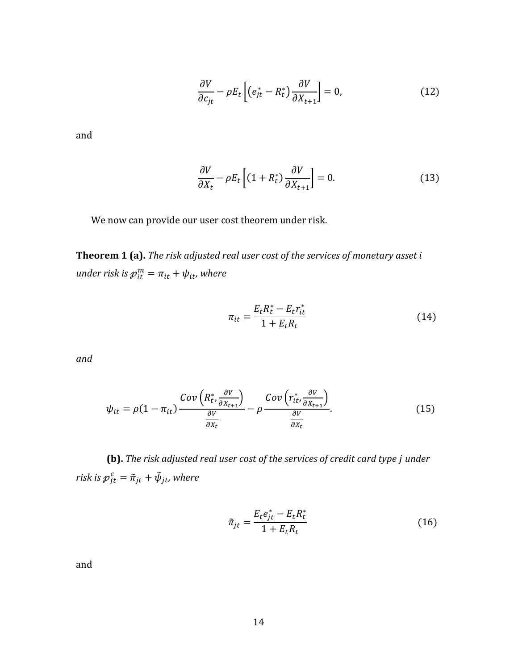$$
\frac{\partial V}{\partial c_{jt}} - \rho E_t \left[ \left( e_{jt}^* - R_t^* \right) \frac{\partial V}{\partial X_{t+1}} \right] = 0, \tag{12}
$$

and

$$
\frac{\partial V}{\partial X_t} - \rho E_t \left[ (1 + R_t^*) \frac{\partial V}{\partial X_{t+1}} \right] = 0. \tag{13}
$$

We now can provide our user cost theorem under risk.

**Theorem 1 (a).** *The risk adjusted real user cost of the services of monetary asset under risk is*  $p_{it}^m = \pi_{it} + \psi_{it}$ *, where* 

$$
\pi_{it} = \frac{E_t R_t^* - E_t r_{it}^*}{1 + E_t R_t}
$$
\n(14)

*and*

$$
\psi_{it} = \rho (1 - \pi_{it}) \frac{Cov\left(R_t^*, \frac{\partial V}{\partial X_{t+1}}\right)}{\frac{\partial V}{\partial X_t}} - \rho \frac{Cov\left(r_{it}^*, \frac{\partial V}{\partial X_{t+1}}\right)}{\frac{\partial V}{\partial X_t}}.
$$
(15)

**(b).** *The risk adjusted real user cost of the services of credit card type under risk is*  $p_{jt}^c = \tilde{\pi}_{jt} + \tilde{\psi}_{jt}$ *, where* 

$$
\tilde{\pi}_{jt} = \frac{E_t e_{jt}^* - E_t R_t^*}{1 + E_t R_t}
$$
\n(16)

and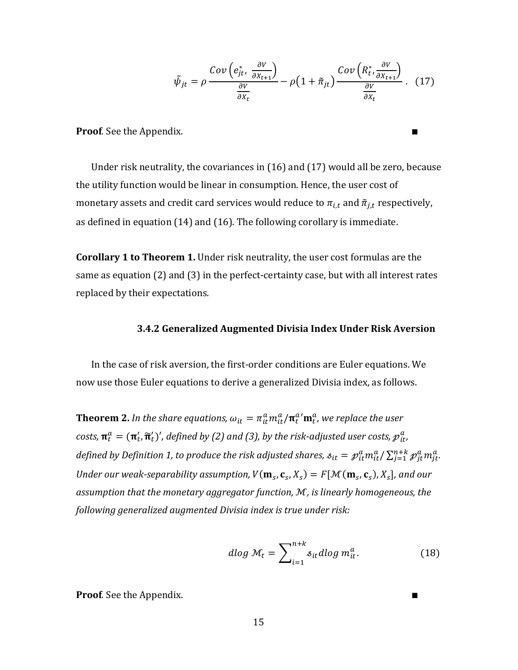$$
\tilde{\psi}_{jt} = \rho \frac{Cov\left(e_{jt}^*, \frac{\partial V}{\partial X_{t+1}}\right)}{\frac{\partial V}{\partial X_t}} - \rho \left(1 + \tilde{\pi}_{jt}\right) \frac{Cov\left(R_t^*, \frac{\partial V}{\partial X_{t+1}}\right)}{\frac{\partial V}{\partial X_t}}.
$$
(17)

**Proof**. See the Appendix.

Under risk neutrality, the covariances in (16) and (17) would all be zero, because the utility function would be linear in consumption. Hence, the user cost of monetary assets and credit card services would reduce to  $\pi_{i,t}$  and  $\tilde{\pi}_{j,t}$  respectively, as defined in equation (14) and (16). The following corollary is immediate.

**Corollary 1 to Theorem 1.** Under risk neutrality, the user cost formulas are the same as equation (2) and (3) in the perfect-certainty case, but with all interest rates replaced by their expectations.

#### **3.4.2 Generalized Augmented Divisia Index Under Risk Aversion**

In the case of risk aversion, the first-order conditions are Euler equations. We now use those Euler equations to derive a generalized Divisia index, as follows.

**Theorem 2.** In the share equations,  $\omega_{it} = \pi_{it}^a m_{it}^a / \pi_t^a' m_t^a$ , we replace the user costs,  $\mathbf{\pi}_t^a = (\mathbf{\pi}_t', \mathbf{\widetilde{\pi}}_t')'$ , defined by (2) and (3), by the risk-adjusted user costs,  $p_{it}^a$ defined by Definition 1, to produce the risk adjusted shares,  $s_{it} = \mathcal{P}_{it}^a m_{it}^a / \sum_{j=1}^{n+k} \mathcal{P}_{jt}^a m_{jt}^a$ . Under our weak-separability assumption,  $V(\mathbf{m}_s, \mathbf{c}_s, X_s) = F[\mathcal{M}(\mathbf{m}_s, \mathbf{c}_s), X_s]$ , and our *assumption that the monetary aggregator function,* ℳ*, is linearly homogeneous, the following generalized augmented Divisia index is true under risk:*

$$
d\log \mathcal{M}_t = \sum_{i=1}^{n+k} s_{it} d\log m_{it}^a.
$$
 (18)

**Proof***.* See the Appendix.

15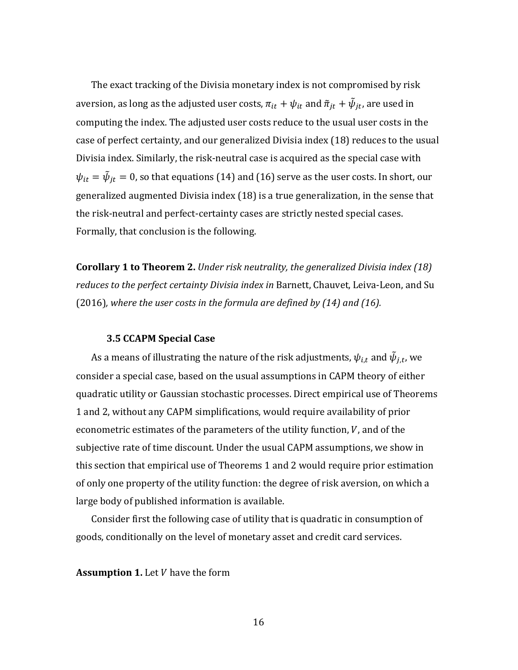The exact tracking of the Divisia monetary index is not compromised by risk aversion, as long as the adjusted user costs,  $\pi_{it} + \psi_{it}$  and  $\tilde{\pi}_{jt} + \tilde{\psi}_{jt}$ , are used in computing the index. The adjusted user costs reduce to the usual user costs in the case of perfect certainty, and our generalized Divisia index (18) reduces to the usual Divisia index. Similarly, the risk-neutral case is acquired as the special case with  $\psi_{it} = \dot{\psi}_{jt} = 0$ , so that equations (14) and (16) serve as the user costs. In short, our generalized augmented Divisia index (18) is a true generalization, in the sense that the risk-neutral and perfect-certainty cases are strictly nested special cases. Formally, that conclusion is the following.

**Corollary 1 to Theorem 2.** *Under risk neutrality, the generalized Divisia index (18) reduces to the perfect certainty Divisia index in* Barnett, Chauvet, Leiva-Leon, and Su (2016)*, where the user costs in the formula are defined by (14) and (16).* 

#### **3.5 CCAPM Special Case**

As a means of illustrating the nature of the risk adjustments,  $\psi_{i,t}$  and  $\tilde{\psi}_{j,t}$ , we consider a special case, based on the usual assumptions in CAPM theory of either quadratic utility or Gaussian stochastic processes. Direct empirical use of Theorems 1 and 2, without any CAPM simplifications, would require availability of prior econometric estimates of the parameters of the utility function, V, and of the subjective rate of time discount. Under the usual CAPM assumptions, we show in this section that empirical use of Theorems 1 and 2 would require prior estimation of only one property of the utility function: the degree of risk aversion, on which a large body of published information is available.

Consider first the following case of utility that is quadratic in consumption of goods, conditionally on the level of monetary asset and credit card services.

**Assumption 1.** Let *V* have the form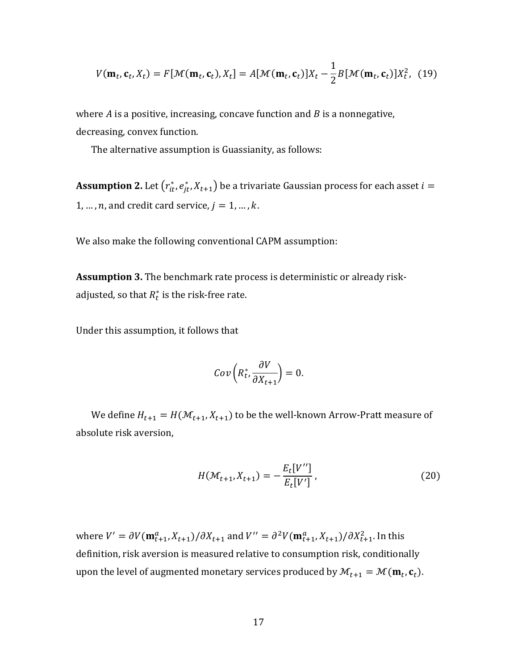$$
V(\mathbf{m}_t, \mathbf{c}_t, X_t) = F[\mathcal{M}(\mathbf{m}_t, \mathbf{c}_t), X_t] = A[\mathcal{M}(\mathbf{m}_t, \mathbf{c}_t)]X_t - \frac{1}{2}B[\mathcal{M}(\mathbf{m}_t, \mathbf{c}_t)]X_t^2, (19)
$$

where  $\vec{A}$  is a positive, increasing, concave function and  $\vec{B}$  is a nonnegative, decreasing, convex function.

The alternative assumption is Guassianity, as follows:

 ${\bf Assumption~2.}$  Let  $\left( {r_{it}^*,\mathit{e_{jt}^*,X_{t+1}}} \right)$  be a trivariate Gaussian process for each asset  $i=$ 1, ..., n, and credit card service,  $j = 1, ..., k$ .

We also make the following conventional CAPM assumption:

**Assumption 3.** The benchmark rate process is deterministic or already riskadjusted, so that  $R_t^*$  is the risk-free rate.

Under this assumption, it follows that

$$
Cov\left(R_t^*,\frac{\partial V}{\partial X_{t+1}}\right)=0.
$$

We define  $H_{t+1} = H(\mathcal{M}_{t+1}, X_{t+1})$  to be the well-known Arrow-Pratt measure of absolute risk aversion,

$$
H(\mathcal{M}_{t+1}, X_{t+1}) = -\frac{E_t[V'']}{E_t[V']},
$$
\n(20)

where  $V' = \partial V(\mathbf{m}_{t+1}^a, X_{t+1})/\partial X_{t+1}$  and  $V'' = \partial^2 V(\mathbf{m}_{t+1}^a, X_{t+1})/\partial X_{t+1}^2$ . In this definition, risk aversion is measured relative to consumption risk, conditionally upon the level of augmented monetary services produced by  $\mathcal{M}_{t+1} = \mathcal{M}(\mathbf{m}_t, \mathbf{c}_t)$ .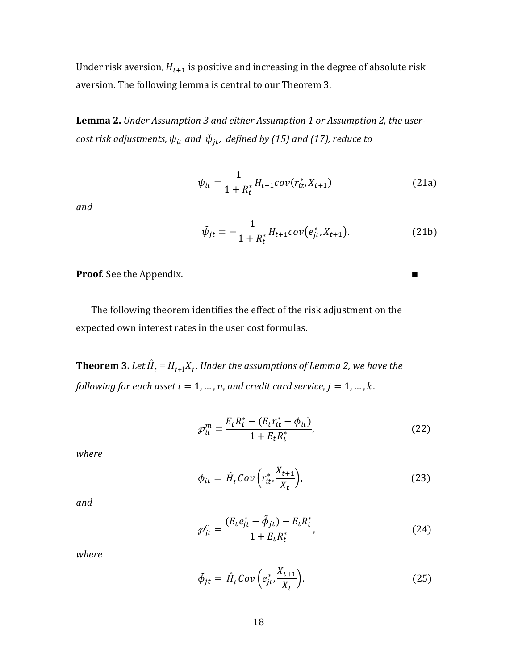Under risk aversion,  $H_{t+1}$  is positive and increasing in the degree of absolute risk aversion. The following lemma is central to our Theorem 3.

**Lemma 2.** *Under Assumption 3 and either Assumption 1 or Assumption 2, the user-* $\mathit{cost}$  risk adjustments,  $\psi_{it}$  and  $\,\tilde{\psi}_{jt}$ , defined by (15) and (17), reduce to

$$
\psi_{it} = \frac{1}{1 + R_t^*} H_{t+1} cov(r_{it}^*, X_{t+1})
$$
\n(21a)

*and*

$$
\tilde{\psi}_{jt} = -\frac{1}{1 + R_t^*} H_{t+1} cov(e_{jt}^*, X_{t+1}).
$$
\n(21b)

**Proof***.* See the Appendix. ∎

The following theorem identifies the effect of the risk adjustment on the expected own interest rates in the user cost formulas.

 ${\bf Theorem~3.}$  Let  ${\hat H}_t = H_{t+1}X_t.$  Under the assumptions of Lemma 2, we have the *following for each asset*  $i = 1, ..., n$ , and credit card service,  $j = 1, ..., k$ .

$$
\mathcal{P}_{it}^{m} = \frac{E_t R_t^* - (E_t r_{it}^* - \phi_{it})}{1 + E_t R_t^*},
$$
\n(22)

*where*

$$
\phi_{it} = \hat{H}_t \, Cov\left(r_{it}^* \frac{X_{t+1}}{X_t}\right),\tag{23}
$$

*and*

$$
\mathcal{p}_{jt}^c = \frac{(E_t e_{jt}^* - \tilde{\phi}_{jt}) - E_t R_t^*}{1 + E_t R_t^*},
$$
\n(24)

*where*

$$
\tilde{\phi}_{jt} = \hat{H}_t \operatorname{Cov}\left(e_{jt}^*, \frac{X_{t+1}}{X_t}\right). \tag{25}
$$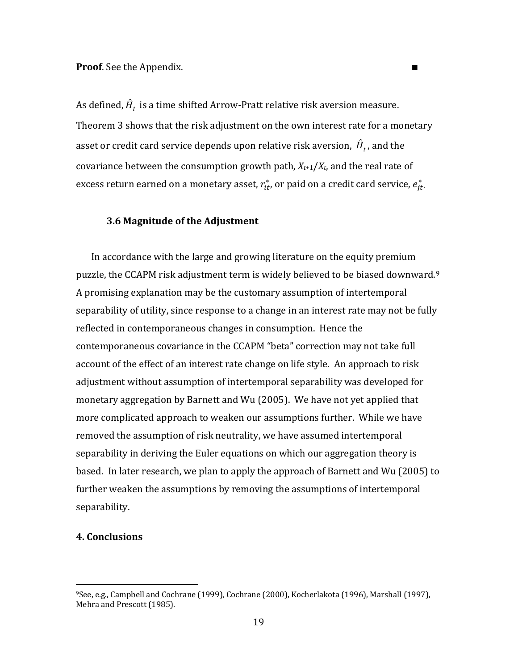As defined,  $\hat{H}^{}_{t}$  is a time shifted Arrow-Pratt relative risk aversion measure. Theorem 3 shows that the risk adjustment on the own interest rate for a monetary asset or credit card service depends upon relative risk aversion,  $\hat{H}_t$  , and the covariance between the consumption growth path, *X<sup>t</sup>*+1/*Xt*, and the real rate of excess return earned on a monetary asset,  $r_{it}^{\ast}$ , or paid on a credit card service,  $e_{jt}^{\ast}$ .

# **3.6 Magnitude of the Adjustment**

In accordance with the large and growing literature on the equity premium puzzle, the CCAPM risk adjustment term is widely believed to be biased downward.[9](#page-19-0) A promising explanation may be the customary assumption of intertemporal separability of utility, since response to a change in an interest rate may not be fully reflected in contemporaneous changes in consumption. Hence the contemporaneous covariance in the CCAPM "beta" correction may not take full account of the effect of an interest rate change on life style. An approach to risk adjustment without assumption of intertemporal separability was developed for monetary aggregation by Barnett and Wu (2005). We have not yet applied that more complicated approach to weaken our assumptions further. While we have removed the assumption of risk neutrality, we have assumed intertemporal separability in deriving the Euler equations on which our aggregation theory is based. In later research, we plan to apply the approach of Barnett and Wu (2005) to further weaken the assumptions by removing the assumptions of intertemporal separability.

# **4. Conclusions**

<u>.</u>

<span id="page-19-0"></span><sup>9</sup>See, e.g., Campbell and Cochrane (1999), Cochrane (2000), Kocherlakota (1996), Marshall (1997), Mehra and Prescott (1985).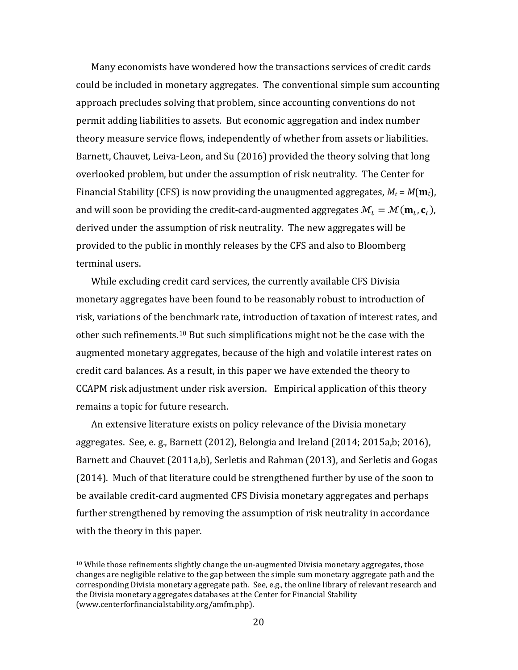Many economists have wondered how the transactions services of credit cards could be included in monetary aggregates. The conventional simple sum accounting approach precludes solving that problem, since accounting conventions do not permit adding liabilities to assets. But economic aggregation and index number theory measure service flows, independently of whether from assets or liabilities. Barnett, Chauvet, Leiva-Leon, and Su (2016) provided the theory solving that long overlooked problem, but under the assumption of risk neutrality. The Center for Financial Stability (CFS) is now providing the unaugmented aggregates,  $M_t = M(\mathbf{m}_t)$ , and will soon be providing the credit-card-augmented aggregates  $\mathcal{M}_t = \mathcal{M}(\mathbf{m}_t, \mathbf{c}_t)$ , derived under the assumption of risk neutrality. The new aggregates will be provided to the public in monthly releases by the CFS and also to Bloomberg terminal users.

While excluding credit card services, the currently available CFS Divisia monetary aggregates have been found to be reasonably robust to introduction of risk, variations of the b[enc](#page-20-0)hmark rate, introduction of taxation of interest rates, and other such refinements.<sup>10</sup> But such simplifications might not be the case with the augmented monetary aggregates, because of the high and volatile interest rates on credit card balances. As a result, in this paper we have extended the theory to CCAPM risk adjustment under risk aversion. Empirical application of this theory remains a topic for future research.

An extensive literature exists on policy relevance of the Divisia monetary aggregates. See, e. g., Barnett (2012), Belongia and Ireland (2014; 2015a,b; 2016), Barnett and Chauvet (2011a,b), Serletis and Rahman (2013), and Serletis and Gogas (2014). Much of that literature could be strengthened further by use of the soon to be available credit-card augmented CFS Divisia monetary aggregates and perhaps further strengthened by removing the assumption of risk neutrality in accordance with the theory in this paper.

-

<span id="page-20-0"></span> $10$  While those refinements slightly change the un-augmented Divisia monetary aggregates, those changes are negligible relative to the gap between the simple sum monetary aggregate path and the corresponding Divisia monetary aggregate path. See, e.g., the online library of relevant research and the Divisia monetary aggregates databases at the Center for Financial Stability (www.centerforfinancialstability.org/amfm.php).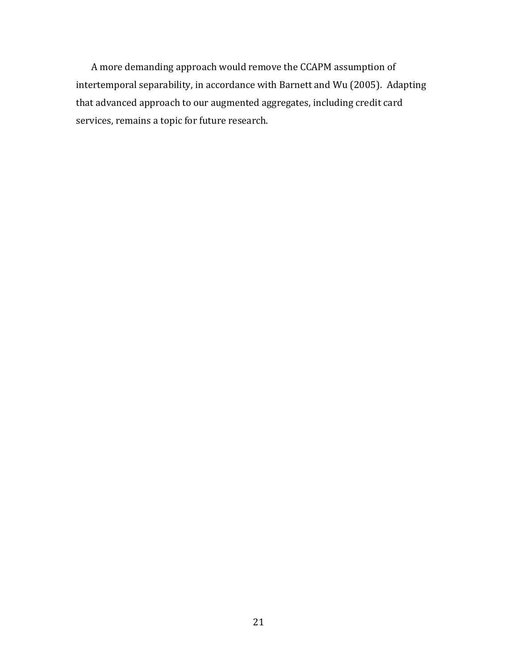A more demanding approach would remove the CCAPM assumption of intertemporal separability, in accordance with Barnett and Wu (2005). Adapting that advanced approach to our augmented aggregates, including credit card services, remains a topic for future research.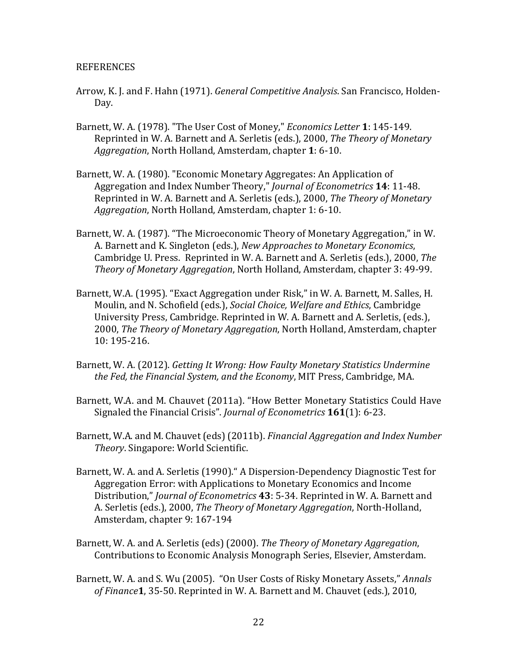#### REFERENCES

- Arrow, K. J. and F. Hahn (1971). *General Competitive Analysis*. San Francisco, Holden-Day.
- Barnett, W. A. (1978). "The User Cost of Money," *Economics Letter* **1**: 145-149. Reprinted in W. A. Barnett and A. Serletis (eds.), 2000, *The Theory of Monetary Aggregation*, North Holland, Amsterdam, chapter **1**: 6-10.
- Barnett, W. A. (1980). "Economic Monetary Aggregates: An Application of Aggregation and Index Number Theory," *Journal of Econometrics* **14**: 11-48. Reprinted in W. A. Barnett and A. Serletis (eds.), 2000, *The Theory of Monetary Aggregation*, North Holland, Amsterdam, chapter 1: 6-10.
- Barnett, W. A. (1987). "The Microeconomic Theory of Monetary Aggregation," in W. A. Barnett and K. Singleton (eds.), *New Approaches to Monetary Economics*, Cambridge U. Press. Reprinted in W. A. Barnett and A. Serletis (eds.), 2000, *The Theory of Monetary Aggregation*, North Holland, Amsterdam, chapter 3: 49-99.
- Barnett, W.A. (1995). "Exact Aggregation under Risk," in W. A. Barnett, M. Salles, H. Moulin, and N. Schofield (eds.), *Social Choice, Welfare and Ethics*, Cambridge University Press, Cambridge. Reprinted in W. A. Barnett and A. Serletis, (eds.), 2000, *The Theory of Monetary Aggregation*, North Holland, Amsterdam, chapter 10: 195-216.
- Barnett, W. A. (2012). *Getting It Wrong: How Faulty Monetary Statistics Undermine the Fed, the Financial System, and the Economy*, MIT Press, Cambridge, MA.
- Barnett, W.A. and M. Chauvet (2011a). "How Better Monetary Statistics Could Have Signaled the Financial Crisis". *Journal of Econometrics* **161**(1): 6-23.
- Barnett, W.A. and M. Chauvet (eds) (2011b). *Financial Aggregation and Index Number Theory*. Singapore: World Scientific.
- Barnett, W. A. and A. Serletis (1990)." A Dispersion-Dependency Diagnostic Test for Aggregation Error: with Applications to Monetary Economics and Income Distribution," *Journal of Econometrics* **43**: 5-34. Reprinted in W. A. Barnett and A. Serletis (eds.), 2000, *The Theory of Monetary Aggregation*, North-Holland, Amsterdam, chapter 9: 167-194
- Barnett, W. A. and A. Serletis (eds) (2000). *The Theory of Monetary Aggregation*, Contributions to Economic Analysis Monograph Series, Elsevier, Amsterdam.
- Barnett, W. A. and S. Wu (2005). "On User Costs of Risky Monetary Assets," *Annals of Finance***1**, 35-50. Reprinted in W. A. Barnett and M. Chauvet (eds.), 2010,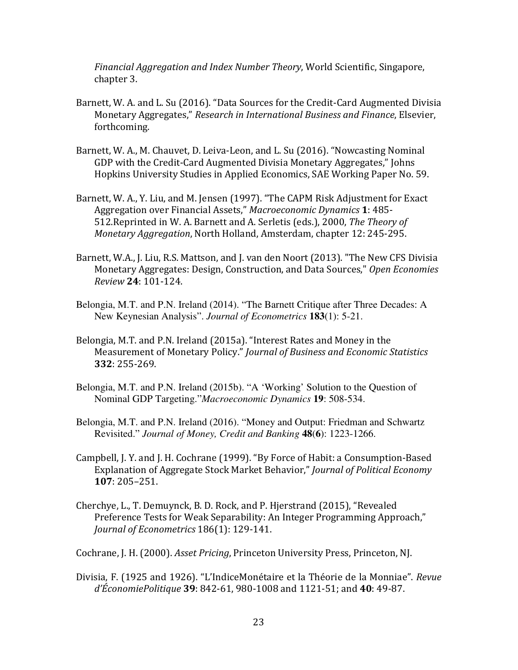*Financial Aggregation and Index Number Theory*, World Scientific, Singapore, chapter 3.

- Barnett, W. A. and L. Su (2016). "Data Sources for the Credit-Card Augmented Divisia Monetary Aggregates," *Research in International Business and Finance*, Elsevier, forthcoming.
- Barnett, W. A., M. Chauvet, D. Leiva-Leon, and L. Su (2016). "Nowcasting Nominal GDP with the Credit-Card Augmented Divisia Monetary Aggregates," Johns Hopkins University Studies in Applied Economics, SAE Working Paper No. 59.
- Barnett, W. A., Y. Liu, and M. Jensen (1997). "The CAPM Risk Adjustment for Exact Aggregation over Financial Assets," *Macroeconomic Dynamics* **1**: 485- 512.Reprinted in W. A. Barnett and A. Serletis (eds.), 2000, *The Theory of Monetary Aggregation*, North Holland, Amsterdam, chapter 12: 245-295.
- Barnett, W.A., J. Liu, R.S. Mattson, and J. van den Noort (2013). "The New CFS Divisia Monetary Aggregates: Design, Construction, and Data Sources," *Open Economies Review* **24**: 101-124.
- Belongia, M.T. and P.N. Ireland (2014). "The Barnett Critique after Three Decades: A New Keynesian Analysis". *Journal of Econometrics* **183**(1): 5-21.
- Belongia, M.T. and P.N. Ireland (2015a). "Interest Rates and Money in the Measurement of Monetary Policy." *Journal of Business and Economic Statistics* **332**: 255-269.
- Belongia, M.T. and P.N. Ireland (2015b). "A 'Working' Solution to the Question of Nominal GDP Targeting."*Macroeconomic Dynamics* **19**: 508-534.
- Belongia, M.T. and P.N. Ireland (2016). "Money and Output: Friedman and Schwartz Revisited." *Journal of Money, Credit and Banking* **48**(**6**): 1223-1266.
- Campbell, J. Y. and J. H. Cochrane (1999). "By Force of Habit: a Consumption-Based Explanation of Aggregate Stock Market Behavior," *Journal of Political Economy* **107**: 205–251.
- Cherchye, L., T. Demuynck, B. D. Rock, and P. Hjerstrand (2015), "Revealed Preference Tests for Weak Separability: An Integer Programming Approach," *Journal of Econometrics* 186(1): 129-141.

Cochrane, J. H. (2000). *Asset Pricing*, Princeton University Press, Princeton, NJ.

Divisia, F. (1925 and 1926). "L'IndiceMonétaire et la Théorie de la Monniae". *Revue d'ÉconomiePolitique* **39**: 842-61, 980-1008 and 1121-51; and **40**: 49-87.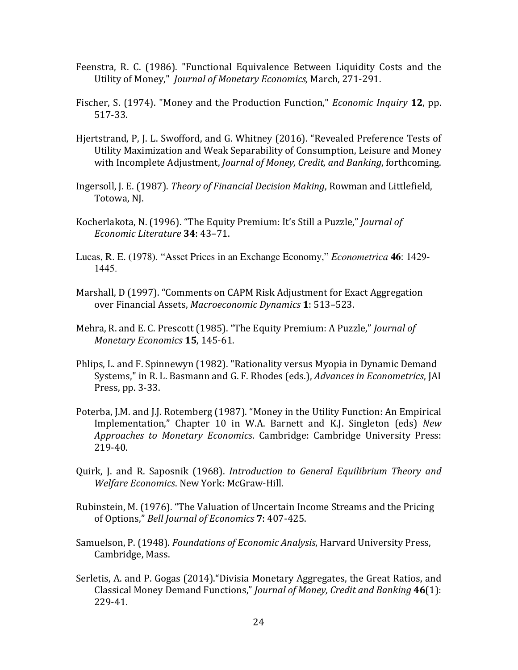- Feenstra, R. C. (1986). "Functional Equivalence Between Liquidity Costs and the Utility of Money," *Journal of Monetary Economics,* March, 271-291.
- Fischer, S. (1974). "Money and the Production Function," *Economic Inquiry* **12**, pp. 517-33.
- Hjertstrand, P, J. L. Swofford, and G. Whitney (2016). "Revealed Preference Tests of Utility Maximization and Weak Separability of Consumption, Leisure and Money with Incomplete Adjustment, *Journal of Money, Credit, and Banking*, forthcoming.
- Ingersoll, J. E. (1987). *Theory of Financial Decision Making*, Rowman and Littlefield, Totowa, NJ.
- Kocherlakota, N. (1996). "The Equity Premium: It's Still a Puzzle," *Journal of Economic Literature* **34**: 43–71.
- Lucas, R. E. (1978). "Asset Prices in an Exchange Economy," *Econometrica* **46**: 1429- 1445.
- Marshall, D (1997). "Comments on CAPM Risk Adjustment for Exact Aggregation over Financial Assets, *Macroeconomic Dynamics* **1**: 513–523.
- Mehra, R. and E. C. Prescott (1985). "The Equity Premium: A Puzzle," *Journal of Monetary Economics* **15**, 145-61.
- Phlips, L. and F. Spinnewyn (1982). "Rationality versus Myopia in Dynamic Demand Systems," in R. L. Basmann and G. F. Rhodes (eds.), *Advances in Econometrics*, JAI Press, pp. 3-33.
- Poterba, J.M. and J.J. Rotemberg (1987). "Money in the Utility Function: An Empirical Implementation," Chapter 10 in W.A. Barnett and K.J. Singleton (eds) *New Approaches to Monetary Economics*. Cambridge: Cambridge University Press: 219-40.
- Quirk, J. and R. Saposnik (1968). *Introduction to General Equilibrium Theory and Welfare Economics*. New York: McGraw-Hill.
- Rubinstein, M. (1976). "The Valuation of Uncertain Income Streams and the Pricing of Options," *Bell Journal of Economics* **7**: 407-425.
- Samuelson, P. (1948). *Foundations of Economic Analysis*, Harvard University Press, Cambridge, Mass.
- Serletis, A. and P. Gogas (2014)."Divisia Monetary Aggregates, the Great Ratios, and Classical Money Demand Functions," *Journal of Money, Credit and Banking* **46**(1): 229-41.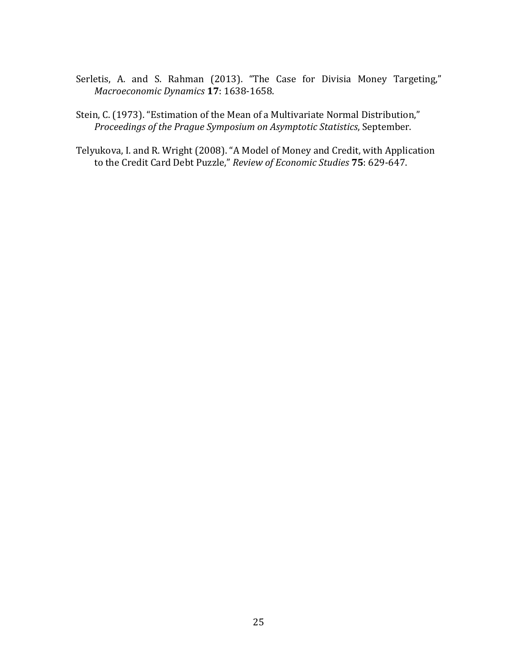- Serletis, A. and S. Rahman (2013). "The Case for Divisia Money Targeting," *Macroeconomic Dynamics* **17**: 1638-1658.
- Stein, C. (1973). "Estimation of the Mean of a Multivariate Normal Distribution," *Proceedings of the Prague Symposium on Asymptotic Statistics*, September.

Telyukova, I. and R. Wright (2008). "A Model of Money and Credit, with Application to the Credit Card Debt Puzzle," *Review of Economic Studies* **75**: 629-647.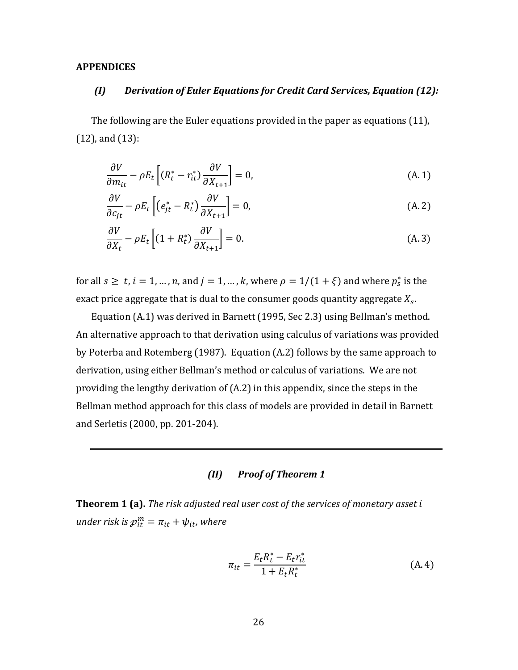#### **APPENDICES**

# *(I) Derivation of Euler Equations for Credit Card Services, Equation (12):*

The following are the Euler equations provided in the paper as equations (11), (12), and (13):

$$
\frac{\partial V}{\partial m_{it}} - \rho E_t \left[ (R_t^* - r_{it}^*) \frac{\partial V}{\partial X_{t+1}} \right] = 0, \tag{A.1}
$$

$$
\frac{\partial V}{\partial c_{jt}} - \rho E_t \left[ \left( e_{jt}^* - R_t^* \right) \frac{\partial V}{\partial X_{t+1}} \right] = 0, \tag{A.2}
$$

$$
\frac{\partial V}{\partial X_t} - \rho E_t \left[ (1 + R_t^*) \frac{\partial V}{\partial X_{t+1}} \right] = 0.
$$
\n(A.3)

for all  $s \ge t$ ,  $i = 1, ..., n$ , and  $j = 1, ..., k$ , where  $\rho = 1/(1 + \xi)$  and where  $p_s^*$  is the exact price aggregate that is dual to the consumer goods quantity aggregate  $X_{\boldsymbol{s}}.$ 

Equation (A.1) was derived in Barnett (1995, Sec 2.3) using Bellman's method. An alternative approach to that derivation using calculus of variations was provided by Poterba and Rotemberg (1987). Equation (A.2) follows by the same approach to derivation, using either Bellman's method or calculus of variations. We are not providing the lengthy derivation of (A.2) in this appendix, since the steps in the Bellman method approach for this class of models are provided in detail in Barnett and Serletis (2000, pp. 201-204).

# *(II) Proof of Theorem 1*

**Theorem 1 (a).** *The risk adjusted real user cost of the services of monetary asset under risk is*  $p_{it}^m = \pi_{it} + \psi_{it}$ *, where* 

$$
\pi_{it} = \frac{E_t R_t^* - E_t r_{it}^*}{1 + E_t R_t^*}
$$
\n(A. 4)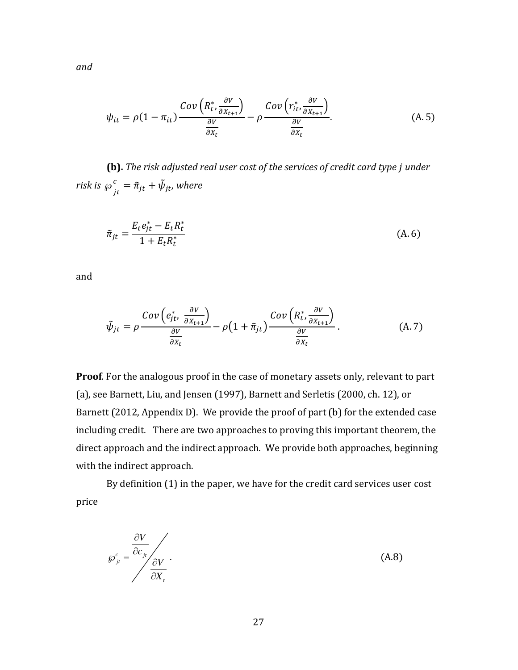$\psi_{it} = \rho (1 - \pi_{it})$  $Cov\left(R^*_t,\frac{\partial V}{\partial X_{t+1}}\right)$  $\frac{\partial X_{t+1}}{\partial x_{t+1}}$  $\partial V$  $\partial X_t$  $-\rho$ Cov $\left(r_{it}^{*},\frac{\partial V}{\partial X_{t-i}}\right)$  $\frac{\partial X_{t+1}}{\partial x_{t+1}}$  $\partial V$  $\partial X_t$  $(A.5)$ 

**(b).** *The risk adjusted real user cost of the services of credit card type under risk is*  $\wp_{jt}^c = \tilde{\pi}_{jt} + \tilde{\psi}_{jt}$ , where

$$
\tilde{\pi}_{jt} = \frac{E_t e_{jt}^* - E_t R_t^*}{1 + E_t R_t^*}
$$
\n(A. 6)

and

$$
\tilde{\psi}_{jt} = \rho \frac{Cov\left(e_{jt}^*, \frac{\partial V}{\partial X_{t+1}}\right)}{\frac{\partial V}{\partial X_t}} - \rho \left(1 + \tilde{\pi}_{jt}\right) \frac{Cov\left(R_t^*, \frac{\partial V}{\partial X_{t+1}}\right)}{\frac{\partial V}{\partial X_t}}.
$$
\n(A.7)

**Proof***.* For the analogous proof in the case of monetary assets only, relevant to part (a), see Barnett, Liu, and Jensen (1997), Barnett and Serletis (2000, ch. 12), or Barnett (2012, Appendix D). We provide the proof of part (b) for the extended case including credit. There are two approaches to proving this important theorem, the direct approach and the indirect approach. We provide both approaches, beginning with the indirect approach.

By definition (1) in the paper, we have for the credit card services user cost price

$$
\wp_{j_t}^c = \frac{\frac{\partial V}{\partial c_{j_t}}}{\frac{\partial V}{\partial X_{t}}}.
$$
\n(A.8)

*and*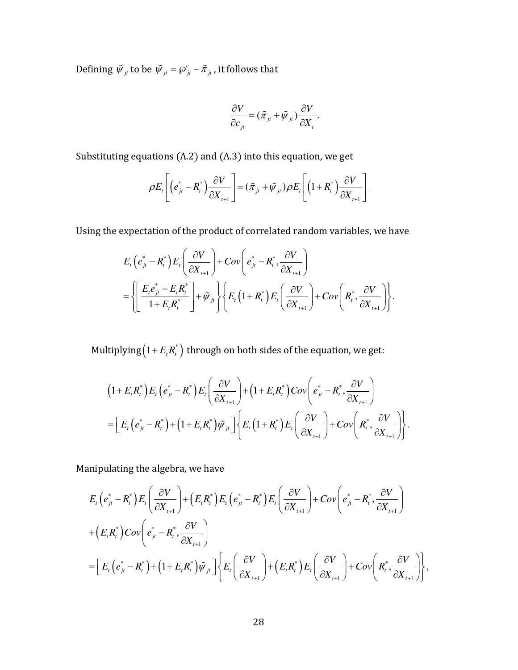Defining  $\tilde{\psi}_{jt}$  to be  $\tilde{\psi}_{jt} = \wp_{jt}^c - \tilde{\pi}_{jt}$ , it follows that

$$
\frac{\partial V}{\partial c_{ji}} = (\tilde{\pi}_{jt} + \tilde{\psi}_{jt}) \frac{\partial V}{\partial X_t}.
$$

Substituting equations (A.2) and (A.3) into this equation, we get

$$
\rho E_t\left[\left(e_{jt}^* - R_t^*\right) \frac{\partial V}{\partial X_{t+1}}\right] = (\tilde{\pi}_{jt} + \tilde{\psi}_{jt}) \rho E_t\left[\left(1 + R_t^*\right) \frac{\partial V}{\partial X_{t+1}}\right].
$$

Using the expectation of the product of correlated random variables, we have

$$
E_{t}\left(e_{jt}^{*}-R_{t}^{*}\right)E_{t}\left(\frac{\partial V}{\partial X_{t+1}}\right)+Cov\left(e_{jt}^{*}-R_{t}^{*},\frac{\partial V}{\partial X_{t+1}}\right)\\=\left\{\left[\frac{E_{t}e_{jt}^{*}-E_{t}R_{t}^{*}}{1+E_{t}R_{t}^{*}}\right]+\tilde{\psi}_{jt}\right\}\left\{E_{t}\left(1+R_{t}^{*}\right)E_{t}\left(\frac{\partial V}{\partial X_{t+1}}\right)+Cov\left(R_{t}^{*},\frac{\partial V}{\partial X_{t+1}}\right)\right\}.
$$

Multiplying $\left( 1+E_{_{t}}R_{_{t}}^{\ast}\right)$  through on both sides of the equation, we get:

$$
\left(1 + E_{t} R_{t}^{*}\right) E_{t} \left(e_{jt}^{*} - R_{t}^{*}\right) E_{t} \left(\frac{\partial V}{\partial X_{t+1}}\right) + \left(1 + E_{t} R_{t}^{*}\right) Cov\left(e_{jt}^{*} - R_{t}^{*}, \frac{\partial V}{\partial X_{t+1}}\right)
$$
\n
$$
= \left[E_{t} \left(e_{jt}^{*} - R_{t}^{*}\right) + \left(1 + E_{t} R_{t}^{*}\right) \tilde{\psi}_{jt}\right] \left\{E_{t} \left(1 + R_{t}^{*}\right) E_{t} \left(\frac{\partial V}{\partial X_{t+1}}\right) + Cov\left(R_{t}^{*}, \frac{\partial V}{\partial X_{t+1}}\right)\right\}.
$$

Manipulating the algebra, we have

$$
E_{t}\left(e_{jt}^{*}-R_{t}^{*}\right)E_{t}\left(\frac{\partial V}{\partial X_{t+1}}\right)+\left(E_{t}R_{t}^{*}\right)E_{t}\left(e_{jt}^{*}-R_{t}^{*}\right)E_{t}\left(\frac{\partial V}{\partial X_{t+1}}\right)+Cov\left(e_{jt}^{*}-R_{t}^{*},\frac{\partial V}{\partial X_{t+1}}\right)\\+\left(E_{t}R_{t}^{*}\right)Cov\left(e_{jt}^{*}-R_{t}^{*},\frac{\partial V}{\partial X_{t+1}}\right)\\=\left[E_{t}\left(e_{jt}^{*}-R_{t}^{*}\right)+\left(1+E_{t}R_{t}^{*}\right)\tilde{\psi}_{jt}\right]\left\{E_{t}\left(\frac{\partial V}{\partial X_{t+1}}\right)+\left(E_{t}R_{t}^{*}\right)E_{t}\left(\frac{\partial V}{\partial X_{t+1}}\right)+Cov\left(R_{t}^{*},\frac{\partial V}{\partial X_{t+1}}\right)\right\},\right.
$$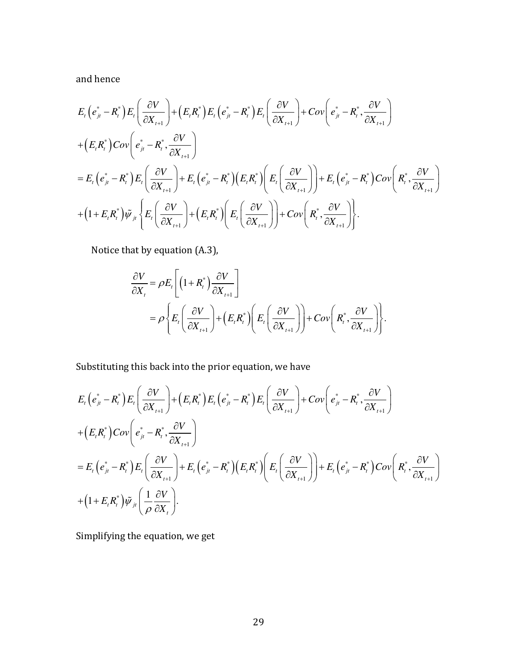and hence

$$
E_{t}\left(e_{jt}^{*}-R_{t}^{*}\right)E_{t}\left(\frac{\partial V}{\partial X_{t+1}}\right)+\left(E_{t}R_{t}^{*}\right)E_{t}\left(e_{jt}^{*}-R_{t}^{*}\right)E_{t}\left(\frac{\partial V}{\partial X_{t+1}}\right)+Cov\left(e_{jt}^{*}-R_{t}^{*},\frac{\partial V}{\partial X_{t+1}}\right) + \left(E_{t}R_{t}^{*}\right)Cov\left(e_{jt}^{*}-R_{t}^{*},\frac{\partial V}{\partial X_{t+1}}\right) = E_{t}\left(e_{jt}^{*}-R_{t}^{*}\right)E_{t}\left(\frac{\partial V}{\partial X_{t+1}}\right)+E_{t}\left(e_{jt}^{*}-R_{t}^{*}\right)\left(E_{t}R_{t}^{*}\right)\left(E_{t}\left(\frac{\partial V}{\partial X_{t+1}}\right)\right)+E_{t}\left(e_{jt}^{*}-R_{t}^{*}\right)Cov\left(R_{t}^{*},\frac{\partial V}{\partial X_{t+1}}\right) + \left(1+E_{t}R_{t}^{*}\right)\tilde{\psi}_{jt}\left\{E_{t}\left(\frac{\partial V}{\partial X_{t+1}}\right)+\left(E_{t}R_{t}^{*}\right)\left(E_{t}\left(\frac{\partial V}{\partial X_{t+1}}\right)\right)+Cov\left(R_{t}^{*},\frac{\partial V}{\partial X_{t+1}}\right)\right\}.
$$

Notice that by equation (A.3),

$$
\frac{\partial V}{\partial X_t} = \rho E_t \left[ \left( 1 + R_t^* \right) \frac{\partial V}{\partial X_{t+1}} \right]
$$
  
=  $\rho \left\{ E_t \left( \frac{\partial V}{\partial X_{t+1}} \right) + \left( E_t R_t^* \right) \left( E_t \left( \frac{\partial V}{\partial X_{t+1}} \right) \right) + Cov \left( R_t^* , \frac{\partial V}{\partial X_{t+1}} \right) \right\}.$ 

Substituting this back into the prior equation, we have

$$
E_{t}\left(e_{jt}^{*}-R_{t}^{*}\right)E_{t}\left(\frac{\partial V}{\partial X_{t+1}}\right)+\left(E_{t}R_{t}^{*}\right)E_{t}\left(e_{jt}^{*}-R_{t}^{*}\right)E_{t}\left(\frac{\partial V}{\partial X_{t+1}}\right)+Cov\left(e_{jt}^{*}-R_{t}^{*},\frac{\partial V}{\partial X_{t+1}}\right) + \left(E_{t}R_{t}^{*}\right)Cov\left(e_{jt}^{*}-R_{t}^{*},\frac{\partial V}{\partial X_{t+1}}\right) = E_{t}\left(e_{jt}^{*}-R_{t}^{*}\right)E_{t}\left(\frac{\partial V}{\partial X_{t+1}}\right)+E_{t}\left(e_{jt}^{*}-R_{t}^{*}\right)\left(E_{t}R_{t}^{*}\right)\left(E_{t}\left(\frac{\partial V}{\partial X_{t+1}}\right)\right)+E_{t}\left(e_{jt}^{*}-R_{t}^{*}\right)Cov\left(R_{t}^{*},\frac{\partial V}{\partial X_{t+1}}\right) + \left(1+E_{t}R_{t}^{*}\right)\tilde{\psi}_{jt}\left(\frac{1}{\rho}\frac{\partial V}{\partial X_{t}}\right).
$$

Simplifying the equation, we get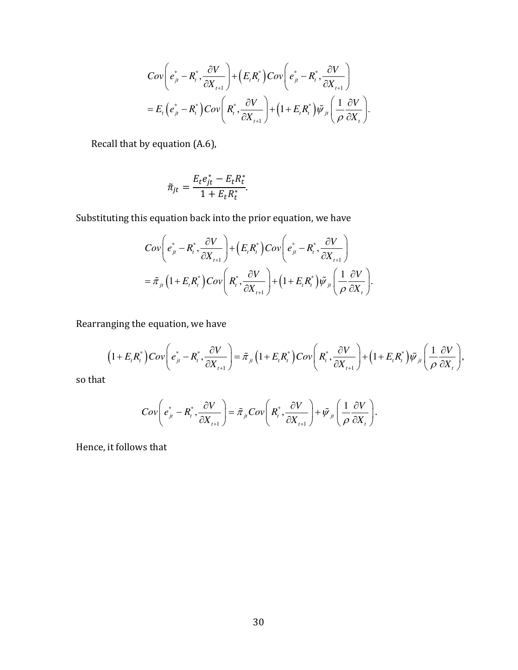$$
Cov\bigg(e_{jt}^* - R_t^*, \frac{\partial V}{\partial X_{t+1}}\bigg) + \Big(E_t R_t^*\Big) Cov\bigg(e_{jt}^* - R_t^*, \frac{\partial V}{\partial X_{t+1}}\bigg) = E_t\Big(e_{jt}^* - R_t^*\Big) Cov\bigg(R_t^*, \frac{\partial V}{\partial X_{t+1}}\bigg) + \Big(1 + E_t R_t^*\Big) \tilde{\psi}_{jt}\bigg(\frac{1}{\rho}\frac{\partial V}{\partial X_{t}}\bigg).
$$

Recall that by equation (A.6),

$$
\widetilde{\pi}_{jt} = \frac{E_t e_{jt}^* - E_t R_t^*}{1 + E_t R_t^*}.
$$

Substituting this equation back into the prior equation, we have

$$
Cov\bigg(e_{ji}^* - R_i^*, \frac{\partial V}{\partial X_{i+1}}\bigg) + \Big(E_i R_i^*\Big) Cov\bigg(e_{ji}^* - R_i^*, \frac{\partial V}{\partial X_{i+1}}\bigg) = \tilde{\pi}_{ji} \Big(1 + E_i R_i^*\Big) Cov\bigg(R_i^*, \frac{\partial V}{\partial X_{i+1}}\bigg) + \Big(1 + E_i R_i^*\Big) \tilde{\psi}_{ji} \bigg(\frac{1}{\rho} \frac{\partial V}{\partial X_{i}}\bigg).
$$

Rearranging the equation, we have

$$
(1+E_{t}R_{t}^{*})Cov\left(e_{jt}^{*}-R_{t}^{*},\frac{\partial V}{\partial X_{t+1}}\right)=\tilde{\pi}_{jt}\left(1+E_{t}R_{t}^{*}\right)Cov\left(R_{t}^{*},\frac{\partial V}{\partial X_{t+1}}\right)+\left(1+E_{t}R_{t}^{*}\right)\tilde{\psi}_{jt}\left(\frac{1}{\rho}\frac{\partial V}{\partial X_{t}}\right),
$$

so that

$$
Cov\bigg(e_{jt}^* - R_t^*, \frac{\partial V}{\partial X_{t+1}}\bigg) = \tilde{\pi}_{jt} Cov\bigg(R_t^*, \frac{\partial V}{\partial X_{t+1}}\bigg) + \tilde{\psi}_{jt}\bigg(\frac{1}{\rho}\frac{\partial V}{\partial X_{t}}\bigg).
$$

Hence, it follows that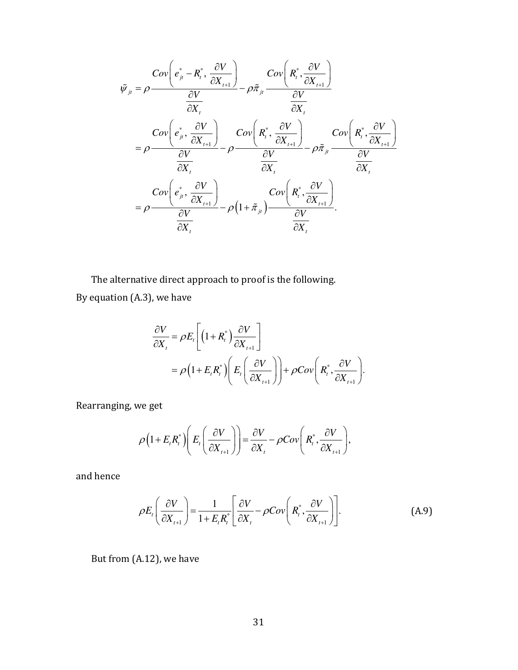$$
\tilde{\psi}_{ji} = \rho \frac{Cov\left(e_{ji}^* - R_i^*, \frac{\partial V}{\partial X_{t+1}}\right)}{\frac{\partial V}{\partial X_t}} - \rho \tilde{\pi}_{ji} \frac{Cov\left(R_i^*, \frac{\partial V}{\partial X_{t+1}}\right)}{\frac{\partial V}{\partial X_t}}
$$
\n
$$
= \rho \frac{Cov\left(e_{ji}^*, \frac{\partial V}{\partial X_{t+1}}\right)}{\frac{\partial V}{\partial X_t}} - \rho \frac{Cov\left(R_i^*, \frac{\partial V}{\partial X_{t+1}}\right)}{\frac{\partial V}{\partial X_t}} - \rho \tilde{\pi}_{ji} \frac{Cov\left(R_i^*, \frac{\partial V}{\partial X_{t+1}}\right)}{\frac{\partial V}{\partial X_t}}
$$
\n
$$
= \rho \frac{Cov\left(e_{ji}^*, \frac{\partial V}{\partial X_{t+1}}\right)}{\frac{\partial V}{\partial X_t}} - \rho \left(1 + \tilde{\pi}_{ji}\right) \frac{Cov\left(R_i^*, \frac{\partial V}{\partial X_{t+1}}\right)}{\frac{\partial V}{\partial X_t}}.
$$

The alternative direct approach to proof is the following. By equation (A.3), we have

$$
\frac{\partial V}{\partial X_t} = \rho E_t \left[ \left( 1 + R_t^* \right) \frac{\partial V}{\partial X_{t+1}} \right]
$$
  
=  $\rho \left( 1 + E_t R_t^* \right) \left( E_t \left( \frac{\partial V}{\partial X_{t+1}} \right) \right) + \rho Cov \left( R_t^*, \frac{\partial V}{\partial X_{t+1}} \right).$ 

Rearranging, we get

$$
\rho\Big(1+E_{t}R_{t}^{*}\Big)\Bigg(E_{t}\Bigg(\frac{\partial V}{\partial X_{t+1}}\Bigg)\Bigg)=\frac{\partial V}{\partial X_{t}}-\rho Cov\Bigg(R_{t}^{*},\frac{\partial V}{\partial X_{t+1}}\Bigg),\,
$$

and hence

$$
\rho E_t \left( \frac{\partial V}{\partial X_{t+1}} \right) = \frac{1}{1 + E_t R_t^*} \left[ \frac{\partial V}{\partial X_t} - \rho Cov \left( R_t^*, \frac{\partial V}{\partial X_{t+1}} \right) \right].
$$
 (A.9)

But from (A.12), we have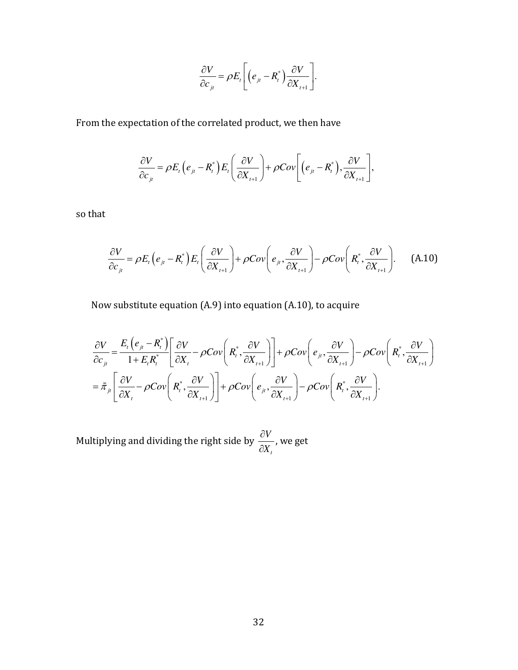$$
\frac{\partial V}{\partial c_{j_t}} = \rho E_t \left[ \left( e_{j_t} - R_t^* \right) \frac{\partial V}{\partial X_{t+1}} \right].
$$

From the expectation of the correlated product, we then have

$$
\frac{\partial V}{\partial c_{ji}} = \rho E_t \left( e_{jt} - R_t^* \right) E_t \left( \frac{\partial V}{\partial X_{t+1}} \right) + \rho Cov \left[ \left( e_{jt} - R_t^* \right), \frac{\partial V}{\partial X_{t+1}} \right],
$$

so that

$$
\frac{\partial V}{\partial c_{j_t}} = \rho E_t \left( e_{j_t} - R_t^* \right) E_t \left( \frac{\partial V}{\partial X_{t+1}} \right) + \rho Cov \left( e_{j_t}, \frac{\partial V}{\partial X_{t+1}} \right) - \rho Cov \left( R_t^*, \frac{\partial V}{\partial X_{t+1}} \right). \tag{A.10}
$$

Now substitute equation (A.9) into equation (A.10), to acquire

$$
\frac{\partial V}{\partial c_{ji}} = \frac{E_{t}(e_{ji} - R_{t}^{*})}{1 + E_{t}R_{t}^{*}} \left[ \frac{\partial V}{\partial X_{t}} - \rho Cov\left(R_{t}^{*}, \frac{\partial V}{\partial X_{t+1}}\right) \right] + \rho Cov\left(e_{ji}, \frac{\partial V}{\partial X_{t+1}}\right) - \rho Cov\left(R_{t}^{*}, \frac{\partial V}{\partial X_{t+1}}\right)
$$
\n
$$
= \tilde{\pi}_{ji} \left[ \frac{\partial V}{\partial X_{t}} - \rho Cov\left(R_{t}^{*}, \frac{\partial V}{\partial X_{t+1}}\right) \right] + \rho Cov\left(e_{ji}, \frac{\partial V}{\partial X_{t+1}}\right) - \rho Cov\left(R_{t}^{*}, \frac{\partial V}{\partial X_{t+1}}\right).
$$

Multiplying and dividing the right side by *t V X* ∂ ∂ , we get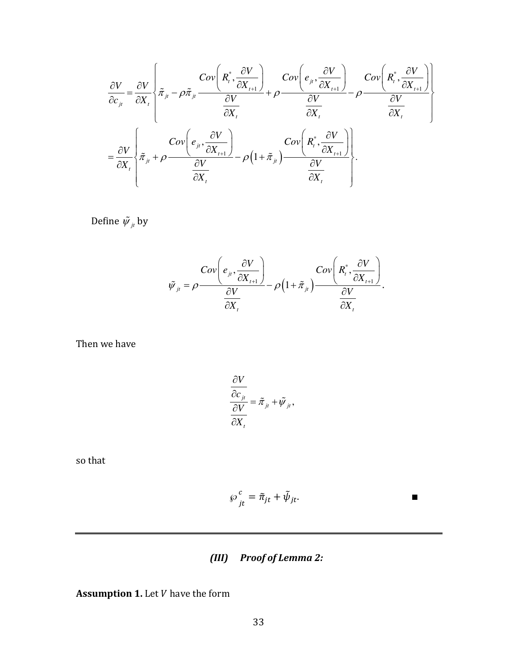$$
\frac{\partial V}{\partial c_{ji}} = \frac{\partial V}{\partial X_{i}} \left\{ \tilde{\pi}_{ji} - \rho \tilde{\pi}_{ji} \frac{Cov\left(R_{i}^{*}, \frac{\partial V}{\partial X_{i+1}}\right)}{\frac{\partial V}{\partial X_{i}}} + \rho \frac{Cov\left(e_{ji}, \frac{\partial V}{\partial X_{i+1}}\right)}{\frac{\partial V}{\partial X_{i}}} - \rho \frac{Cov\left(R_{i}^{*}, \frac{\partial V}{\partial X_{i+1}}\right)}{\frac{\partial V}{\partial X_{i}}} \right\}
$$
\n
$$
= \frac{\partial V}{\partial X_{i}} \left\{ \tilde{\pi}_{ji} + \rho \frac{Cov\left(e_{ji}, \frac{\partial V}{\partial X_{i+1}}\right)}{\frac{\partial V}{\partial X_{i}}} - \rho \left(1 + \tilde{\pi}_{ji}\right) \frac{Cov\left(R_{i}^{*}, \frac{\partial V}{\partial X_{i+1}}\right)}{\frac{\partial V}{\partial X_{i}}} \right\}.
$$

Define  $\tilde{\psi}_{j}$  by

$$
\tilde{\psi}_{ji} = \rho \frac{Cov\left(e_{ji}, \frac{\partial V}{\partial X_{i+1}}\right)}{\frac{\partial V}{\partial X_{i}}} - \rho \left(1 + \tilde{\pi}_{ji}\right) \frac{Cov\left(R_{i}^{*}, \frac{\partial V}{\partial X_{i+1}}\right)}{\frac{\partial V}{\partial X_{i}}}.
$$

Then we have

$$
\frac{\partial V}{\partial c_{ji}}{\partial V} = \tilde{\pi}_{ji} + \tilde{\psi}_{ji},
$$
  

$$
\frac{\partial V}{\partial X_{i}}
$$

so that

$$
\wp_{it}^c = \tilde{\pi}_{jt} + \tilde{\psi}_{jt}.
$$

# *(III) Proof of Lemma 2:*

**Assumption 1.** Let *V* have the form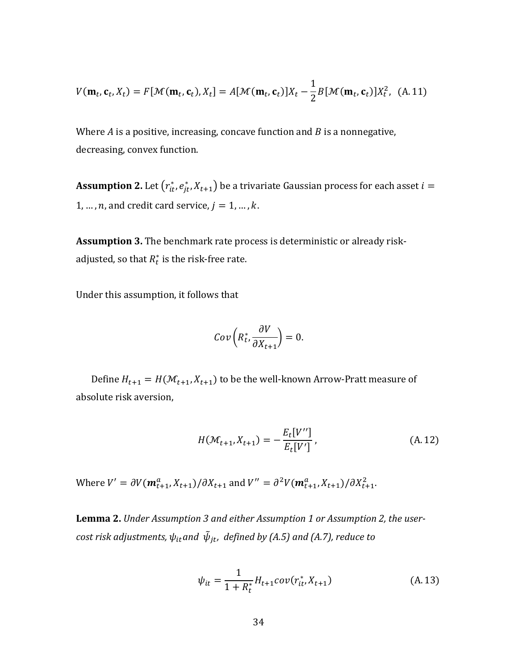$$
V(\mathbf{m}_t, \mathbf{c}_t, X_t) = F[\mathcal{M}(\mathbf{m}_t, \mathbf{c}_t), X_t] = A[\mathcal{M}(\mathbf{m}_t, \mathbf{c}_t)]X_t - \frac{1}{2}B[\mathcal{M}(\mathbf{m}_t, \mathbf{c}_t)]X_t^2, \quad (A. 11)
$$

Where  $A$  is a positive, increasing, concave function and  $B$  is a nonnegative, decreasing, convex function.

 ${\bf Assumption~2.}$  Let  $\left( {r_{it}^*,\mathit{e_{jt}^*,X_{t+1}}} \right)$  be a trivariate Gaussian process for each asset  $i=$ 1, ...,  $n$ , and credit card service,  $j = 1, ..., k$ .

**Assumption 3.** The benchmark rate process is deterministic or already riskadjusted, so that  $R_t^*$  is the risk-free rate.

Under this assumption, it follows that

$$
Cov\left(R_t^*,\frac{\partial V}{\partial X_{t+1}}\right)=0.
$$

Define  $H_{t+1} = H(\mathcal{M}_{t+1}, X_{t+1})$  to be the well-known Arrow-Pratt measure of absolute risk aversion,

$$
H(\mathcal{M}_{t+1}, X_{t+1}) = -\frac{E_t[V'']}{E_t[V']},
$$
\n(A.12)

Where  $V' = \partial V(m_{t+1}^a, X_{t+1})/\partial X_{t+1}$  and  $V'' = \partial^2 V(m_{t+1}^a, X_{t+1})/\partial X_{t+1}^2$ .

**Lemma 2.** *Under Assumption 3 and either Assumption 1 or Assumption 2, the user-* $\epsilon$ ost risk adjustments,  $\psi_{it}$ and  $\,\tilde{\psi}_{jt}$ , defined by (A.5) and (A.7), reduce to

$$
\psi_{it} = \frac{1}{1 + R_t^*} H_{t+1} cov(r_{it}^*, X_{t+1})
$$
\n(A. 13)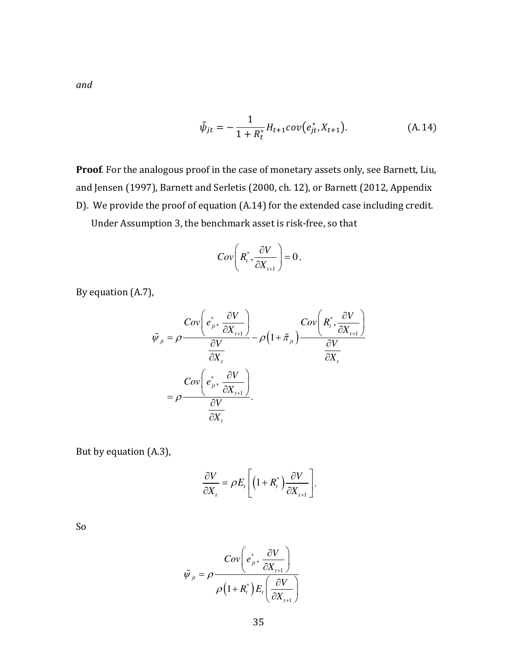$$
\tilde{\psi}_{jt} = -\frac{1}{1 + R_t^*} H_{t+1} cov(e_{jt}^*, X_{t+1}). \tag{A.14}
$$

**Proof***.* For the analogous proof in the case of monetary assets only, see Barnett, Liu, and Jensen (1997), Barnett and Serletis (2000, ch. 12), or Barnett (2012, Appendix D). We provide the proof of equation (A.14) for the extended case including credit. Under Assumption 3, the benchmark asset is risk-free, so that

$$
Cov\bigg(R_t^*,\frac{\partial V}{\partial X_{t+1}}\bigg)=0\,.
$$

By equation (A.7),

$$
\tilde{\psi}_{ji} = \rho \frac{Cov\left(e_{ji}^*, \frac{\partial V}{\partial X_{i+1}}\right)}{\frac{\partial V}{\partial X_i}} - \rho \left(1 + \tilde{\pi}_{ji}\right) \frac{Cov\left(R_i^*, \frac{\partial V}{\partial X_{i+1}}\right)}{\frac{\partial V}{\partial X_i}}
$$
\n
$$
= \rho \frac{Cov\left(e_{ji}^*, \frac{\partial V}{\partial X_{i+1}}\right)}{\frac{\partial V}{\partial X_i}}.
$$

But by equation (A.3),

$$
\frac{\partial V}{\partial X_t} = \rho E_t \left[ \left( 1 + R_t^* \right) \frac{\partial V}{\partial X_{t+1}} \right],
$$

So

$$
\tilde{\psi}_{jt} = \rho \frac{Cov\left(e_{jt}^*, \frac{\partial V}{\partial X_{t+1}}\right)}{\rho \left(1 + R_t^*\right) E_t \left(\frac{\partial V}{\partial X_{t+1}}\right)}
$$

35

*and*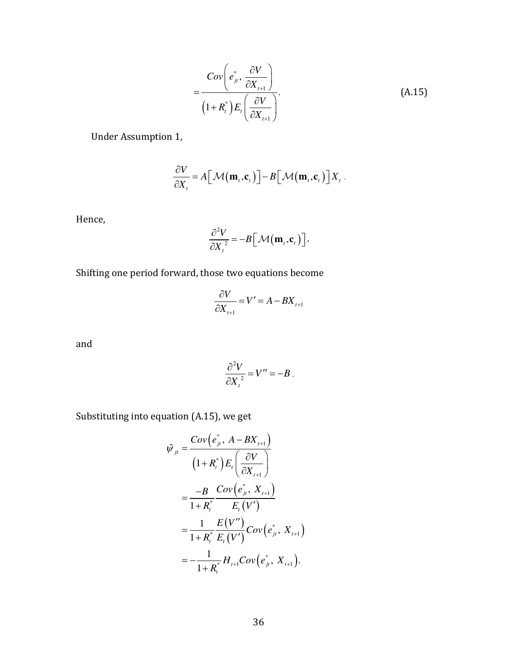$$
=\frac{Cov\left(e_{ji}^*,\frac{\partial V}{\partial X_{t+1}}\right)}{\left(1+R_i^*\right)E_t\left(\frac{\partial V}{\partial X_{t+1}}\right)}.\tag{A.15}
$$

Under Assumption 1,

$$
\frac{\partial V}{\partial X_t} = A \big[\mathcal{M}\big(\mathbf{m}_t, \mathbf{c}_t\big)\big] - B \big[\mathcal{M}\big(\mathbf{m}_t, \mathbf{c}_t\big)\big] X_t.
$$

Hence,

$$
\frac{\partial^2 V}{\partial X_t^2} = -B \Big[ \mathcal{M}(\mathbf{m}_t, \mathbf{c}_t) \Big].
$$

Shifting one period forward, those two equations become

$$
\frac{\partial V}{\partial X}_{t+1} = V' = A - BX_{t+1}
$$

and

$$
\frac{\partial^2 V}{\partial X_i^2} = V'' = -B.
$$

Substituting into equation (A.15), we get

$$
\tilde{\psi}_{ji} = \frac{Cov(e_{ji}^*, A - BX_{t+1})}{(1 + R_i^*)E_t \left(\frac{\partial V}{\partial X_{t+1}}\right)} \n= \frac{-B}{1 + R_i^*} \frac{Cov(e_{ji}^*, X_{t+1})}{E_t(V')} \n= \frac{1}{1 + R_i^*} \frac{E(V'')}{E_t(V')} Cov(e_{ji}^*, X_{t+1}) \n= -\frac{1}{1 + R_i^*} H_{t+1} Cov(e_{ji}^*, X_{t+1}).
$$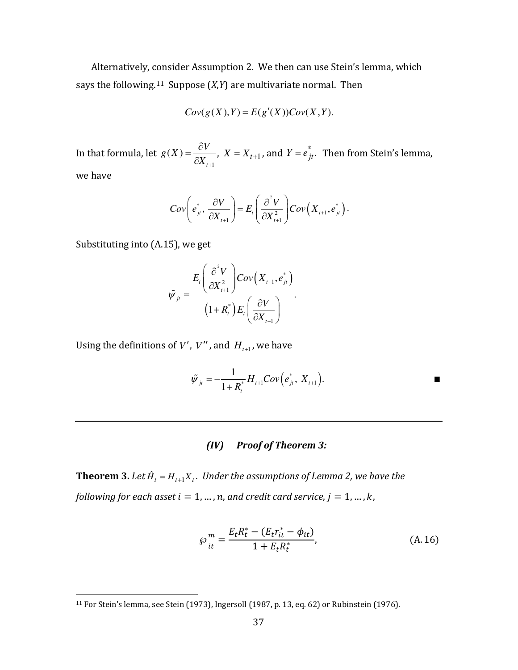Alternatively, [con](#page-37-0)sider Assumption 2. We then can use Stein's lemma, which says the following.11 Suppose (*X*,*Y*) are multivariate normal. Then

$$
Cov(g(X),Y) = E(g'(X))Cov(X,Y).
$$

In that formula, let 1  $(X)$ *t*  $g(X) = \frac{\partial V}{\partial Y}$  $X_{t+1}$  $=\frac{\partial}{\partial x}$  $\frac{\partial V}{\partial X_{t+1}}$ ,  $X = X_{t+1}$ , and  $Y = e_{jt}^*$ . Then from Stein's lemma, we have

$$
Cov\bigg(e_{ji}^*, \frac{\partial V}{\partial X_{i+1}}\bigg) = E_i\bigg(\frac{\partial^2 V}{\partial X_{i+1}^2}\bigg) Cov\bigg(X_{i+1}, e_{ji}^*\bigg).
$$

Substituting into (A.15), we get

-

$$
\tilde{\psi}_{jt} = \frac{E_t \left(\frac{\partial^2 V}{\partial X_{t+1}^2}\right) Cov\left(X_{t+1}, e_{jt}^*\right)}{\left(1 + R_t^*\right) E_t \left(\frac{\partial V}{\partial X_{t+1}}\right)}.
$$

Using the definitions of  $V'$ ,  $V''$ , and  $H_{t+1}$ , we have

$$
\tilde{\psi}_{ji} = -\frac{1}{1 + R_i^*} H_{i+1} Cov(e_{ji}^*, X_{i+1}).
$$

# *(IV) Proof of Theorem 3:*

**Theorem 3.** Let  $\hat{H}_t = H_{t+1}X_t$ . Under the assumptions of Lemma 2, we have the *following for each asset*  $i = 1, ..., n$ , and credit card service,  $j = 1, ..., k$ ,

$$
\wp_{it}^{m} = \frac{E_t R_t^* - (E_t r_{it}^* - \phi_{it})}{1 + E_t R_t^*},
$$
\n(A. 16)

<span id="page-37-0"></span><sup>11</sup> For Stein's lemma, see Stein (1973), Ingersoll (1987, p. 13, eq. 62) or Rubinstein (1976).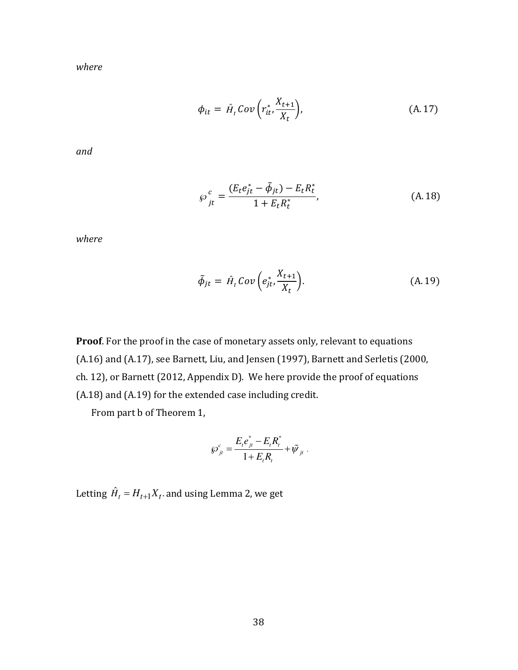*where*

$$
\phi_{it} = \hat{H}_t \text{Cov}\left(r_{it}^*, \frac{X_{t+1}}{X_t}\right),\tag{A.17}
$$

*and*

$$
\wp_{jt}^c = \frac{(E_t e_{jt}^* - \tilde{\phi}_{jt}) - E_t R_t^*}{1 + E_t R_t^*},
$$
\n(A. 18)

*where*

$$
\tilde{\phi}_{jt} = \hat{H}_t \, Cov\left(e_{jt}^* \frac{X_{t+1}}{X_t}\right). \tag{A.19}
$$

**Proof**. For the proof in the case of monetary assets only, relevant to equations (A.16) and (A.17), see Barnett, Liu, and Jensen (1997), Barnett and Serletis (2000, ch. 12), or Barnett (2012, Appendix D). We here provide the proof of equations (A.18) and (A.19) for the extended case including credit.

From part b of Theorem 1,

$$
\wp_{j_t}^c = \frac{E_t e_{j_t}^* - E_t R_t^*}{1 + E_t R_t} + \tilde{\psi}_{j_t}.
$$

Letting  $\hat{H}_{t} = H_{t+1}X_{t}.$  and using Lemma 2, we get